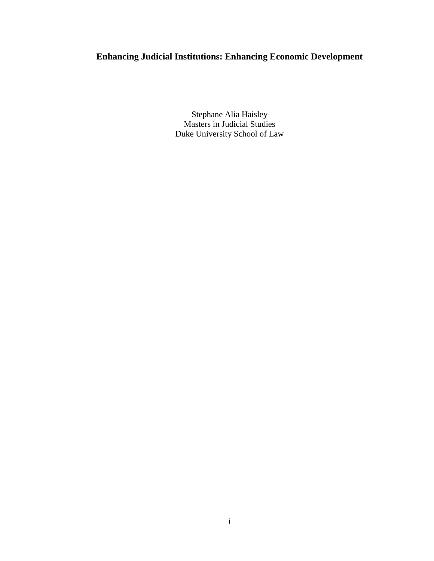# **Enhancing Judicial Institutions: Enhancing Economic Development**

Stephane Alia Haisley Masters in Judicial Studies Duke University School of Law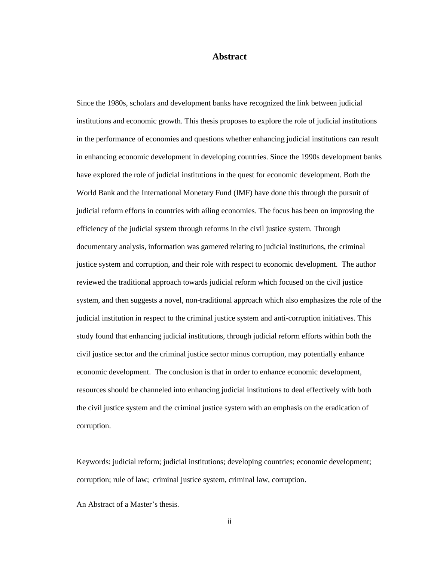#### **Abstract**

<span id="page-1-0"></span>Since the 1980s, scholars and development banks have recognized the link between judicial institutions and economic growth. This thesis proposes to explore the role of judicial institutions in the performance of economies and questions whether enhancing judicial institutions can result in enhancing economic development in developing countries. Since the 1990s development banks have explored the role of judicial institutions in the quest for economic development. Both the World Bank and the International Monetary Fund (IMF) have done this through the pursuit of judicial reform efforts in countries with ailing economies. The focus has been on improving the efficiency of the judicial system through reforms in the civil justice system. Through documentary analysis, information was garnered relating to judicial institutions, the criminal justice system and corruption, and their role with respect to economic development. The author reviewed the traditional approach towards judicial reform which focused on the civil justice system, and then suggests a novel, non-traditional approach which also emphasizes the role of the judicial institution in respect to the criminal justice system and anti-corruption initiatives. This study found that enhancing judicial institutions, through judicial reform efforts within both the civil justice sector and the criminal justice sector minus corruption, may potentially enhance economic development. The conclusion is that in order to enhance economic development, resources should be channeled into enhancing judicial institutions to deal effectively with both the civil justice system and the criminal justice system with an emphasis on the eradication of corruption.

Keywords: judicial reform; judicial institutions; developing countries; economic development; corruption; rule of law; criminal justice system, criminal law, corruption.

An Abstract of a Master's thesis.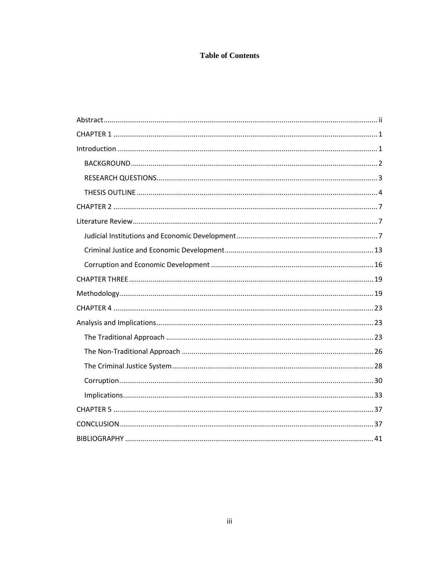# **Table of Contents**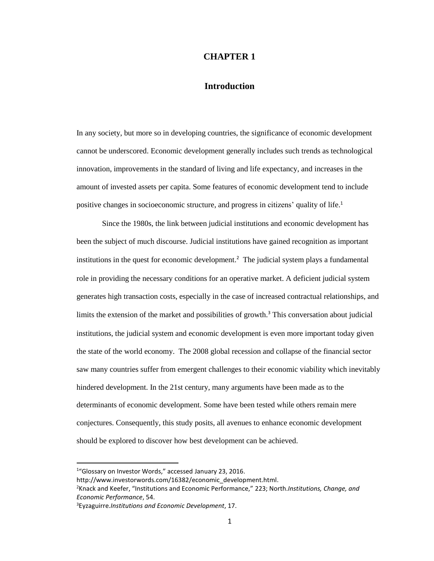## **CHAPTER 1**

# **Introduction**

<span id="page-3-1"></span><span id="page-3-0"></span>In any society, but more so in developing countries, the significance of economic development cannot be underscored. Economic development generally includes such trends as technological innovation, improvements in the standard of living and life expectancy, and increases in the amount of invested assets per capita. Some features of economic development tend to include positive changes in socioeconomic structure, and progress in citizens' quality of life.<sup>1</sup>

Since the 1980s, the link between judicial institutions and economic development has been the subject of much discourse. Judicial institutions have gained recognition as important institutions in the quest for economic development.<sup>2</sup> The judicial system plays a fundamental role in providing the necessary conditions for an operative market. A deficient judicial system generates high transaction costs, especially in the case of increased contractual relationships, and limits the extension of the market and possibilities of growth.<sup>3</sup> This conversation about judicial institutions, the judicial system and economic development is even more important today given the state of the world economy. The 2008 global recession and collapse of the financial sector saw many countries suffer from emergent challenges to their economic viability which inevitably hindered development. In the 21st century, many arguments have been made as to the determinants of economic development. Some have been tested while others remain mere conjectures. Consequently, this study posits, all avenues to enhance economic development should be explored to discover how best development can be achieved.

 $\overline{\phantom{a}}$ 

http://www.investorwords.com/16382/economic\_development.html.

<sup>&</sup>lt;sup>1</sup>"Glossary on Investor Words," accessed January 23, 2016.

<sup>2</sup>Knack and Keefer, "Institutions and Economic Performance," 223; North.*Institutions, Change, and Economic Performance*, 54.

<sup>3</sup>Eyzaguirre.*Institutions and Economic Development*, 17.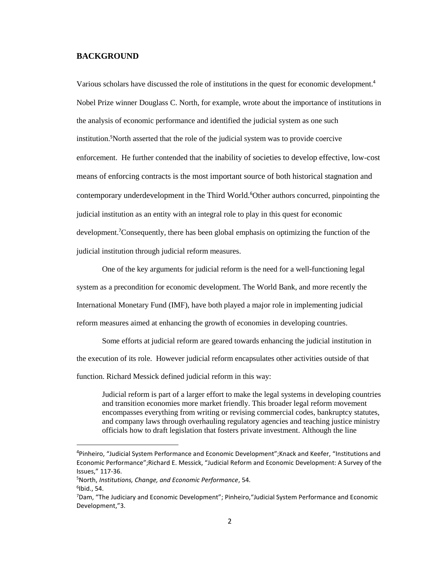## <span id="page-4-0"></span>**BACKGROUND**

Various scholars have discussed the role of institutions in the quest for economic development.<sup>4</sup> Nobel Prize winner Douglass C. North, for example, wrote about the importance of institutions in the analysis of economic performance and identified the judicial system as one such institution.<sup>5</sup>North asserted that the role of the judicial system was to provide coercive enforcement. He further contended that the inability of societies to develop effective, low-cost means of enforcing contracts is the most important source of both historical stagnation and contemporary underdevelopment in the Third World.<sup>6</sup>Other authors concurred, pinpointing the judicial institution as an entity with an integral role to play in this quest for economic development. <sup>7</sup>Consequently, there has been global emphasis on optimizing the function of the judicial institution through judicial reform measures.

One of the key arguments for judicial reform is the need for a well-functioning legal system as a precondition for economic development. The World Bank, and more recently the International Monetary Fund (IMF), have both played a major role in implementing judicial reform measures aimed at enhancing the growth of economies in developing countries.

Some efforts at judicial reform are geared towards enhancing the judicial institution in the execution of its role. However judicial reform encapsulates other activities outside of that function. Richard Messick defined judicial reform in this way:

Judicial reform is part of a larger effort to make the legal systems in developing countries and transition economies more market friendly. This broader legal reform movement encompasses everything from writing or revising commercial codes, bankruptcy statutes, and company laws through overhauling regulatory agencies and teaching justice ministry officials how to draft legislation that fosters private investment. Although the line

<sup>&</sup>lt;sup>4</sup>Pinheiro, "Judicial System Performance and Economic Development"; Knack and Keefer, "Institutions and Economic Performance";Richard E. Messick, "Judicial Reform and Economic Development: A Survey of the Issues," 117-36.

<sup>5</sup>North, *Institutions, Change, and Economic Performance*, 54.  $6$ lbid., 54.

<sup>7</sup>Dam, "The Judiciary and Economic Development"; Pinheiro,"Judicial System Performance and Economic Development,"3.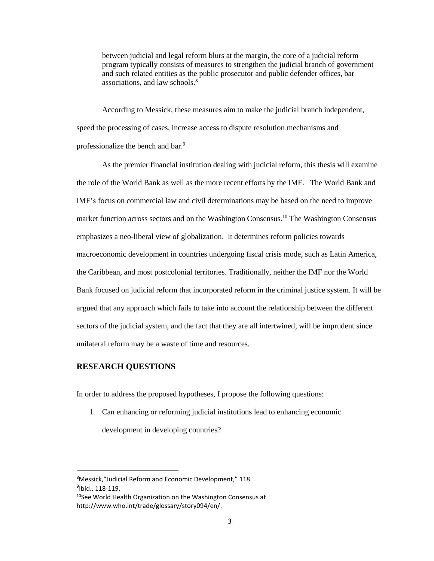between judicial and legal reform blurs at the margin, the core of a judicial reform program typically consists of measures to strengthen the judicial branch of government and such related entities as the public prosecutor and public defender offices, bar associations, and law schools.<sup>8</sup>

According to Messick, these measures aim to make the judicial branch independent, speed the processing of cases, increase access to dispute resolution mechanisms and professionalize the bench and bar.<sup>9</sup>

As the premier financial institution dealing with judicial reform, this thesis will examine the role of the World Bank as well as the more recent efforts by the IMF. The World Bank and IMF's focus on commercial law and civil determinations may be based on the need to improve market function across sectors and on the Washington Consensus. <sup>10</sup> The Washington Consensus emphasizes a neo-liberal view of globalization. It determines reform policies towards macroeconomic development in countries undergoing fiscal crisis mode, such as Latin America, the Caribbean, and most postcolonial territories. Traditionally, neither the IMF nor the World Bank focused on judicial reform that incorporated reform in the criminal justice system. It will be argued that any approach which fails to take into account the relationship between the different sectors of the judicial system, and the fact that they are all intertwined, will be imprudent since unilateral reform may be a waste of time and resources.

## <span id="page-5-0"></span>**RESEARCH QUESTIONS**

 $\overline{a}$ 

In order to address the proposed hypotheses, I propose the following questions:

1. Can enhancing or reforming judicial institutions lead to enhancing economic development in developing countries?

<sup>8</sup>Messick,"Judicial Reform and Economic Development," 118. <sup>9</sup>lbid., 118-119.

<sup>&</sup>lt;sup>10</sup>See World Health Organization on the Washington Consensus at http://www.who.int/trade/glossary/story094/en/.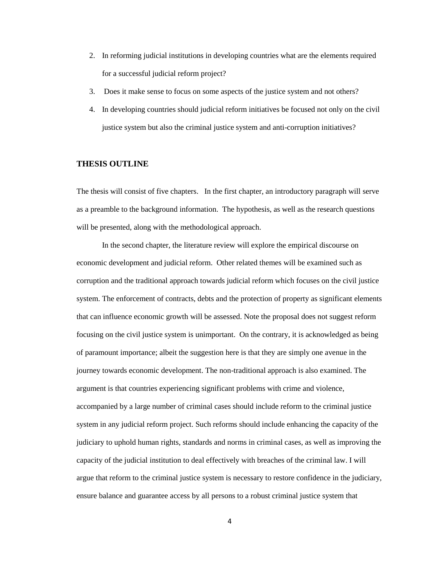- 2. In reforming judicial institutions in developing countries what are the elements required for a successful judicial reform project?
- 3. Does it make sense to focus on some aspects of the justice system and not others?
- 4. In developing countries should judicial reform initiatives be focused not only on the civil justice system but also the criminal justice system and anti-corruption initiatives?

## <span id="page-6-0"></span>**THESIS OUTLINE**

The thesis will consist of five chapters. In the first chapter, an introductory paragraph will serve as a preamble to the background information. The hypothesis, as well as the research questions will be presented, along with the methodological approach.

In the second chapter, the literature review will explore the empirical discourse on economic development and judicial reform. Other related themes will be examined such as corruption and the traditional approach towards judicial reform which focuses on the civil justice system. The enforcement of contracts, debts and the protection of property as significant elements that can influence economic growth will be assessed. Note the proposal does not suggest reform focusing on the civil justice system is unimportant. On the contrary, it is acknowledged as being of paramount importance; albeit the suggestion here is that they are simply one avenue in the journey towards economic development. The non-traditional approach is also examined. The argument is that countries experiencing significant problems with crime and violence, accompanied by a large number of criminal cases should include reform to the criminal justice system in any judicial reform project. Such reforms should include enhancing the capacity of the judiciary to uphold human rights, standards and norms in criminal cases, as well as improving the capacity of the judicial institution to deal effectively with breaches of the criminal law. I will argue that reform to the criminal justice system is necessary to restore confidence in the judiciary, ensure balance and guarantee access by all persons to a robust criminal justice system that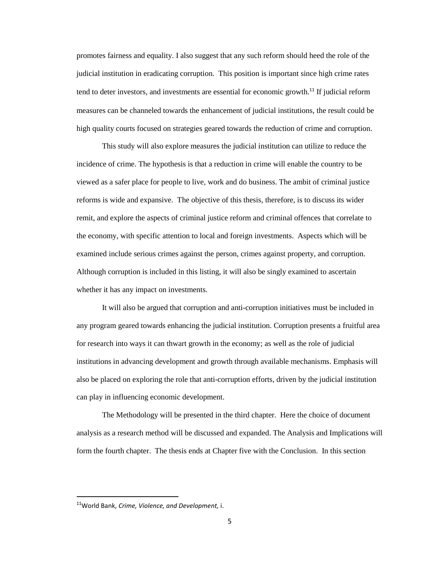promotes fairness and equality. I also suggest that any such reform should heed the role of the judicial institution in eradicating corruption. This position is important since high crime rates tend to deter investors, and investments are essential for economic growth.<sup>11</sup> If judicial reform measures can be channeled towards the enhancement of judicial institutions, the result could be high quality courts focused on strategies geared towards the reduction of crime and corruption.

This study will also explore measures the judicial institution can utilize to reduce the incidence of crime. The hypothesis is that a reduction in crime will enable the country to be viewed as a safer place for people to live, work and do business. The ambit of criminal justice reforms is wide and expansive. The objective of this thesis, therefore, is to discuss its wider remit, and explore the aspects of criminal justice reform and criminal offences that correlate to the economy, with specific attention to local and foreign investments. Aspects which will be examined include serious crimes against the person, crimes against property, and corruption. Although corruption is included in this listing, it will also be singly examined to ascertain whether it has any impact on investments.

It will also be argued that corruption and anti-corruption initiatives must be included in any program geared towards enhancing the judicial institution. Corruption presents a fruitful area for research into ways it can thwart growth in the economy; as well as the role of judicial institutions in advancing development and growth through available mechanisms. Emphasis will also be placed on exploring the role that anti-corruption efforts, driven by the judicial institution can play in influencing economic development.

The Methodology will be presented in the third chapter. Here the choice of document analysis as a research method will be discussed and expanded. The Analysis and Implications will form the fourth chapter. The thesis ends at Chapter five with the Conclusion. In this section

<sup>11</sup>World Bank, *Crime, Violence, and Development,* i.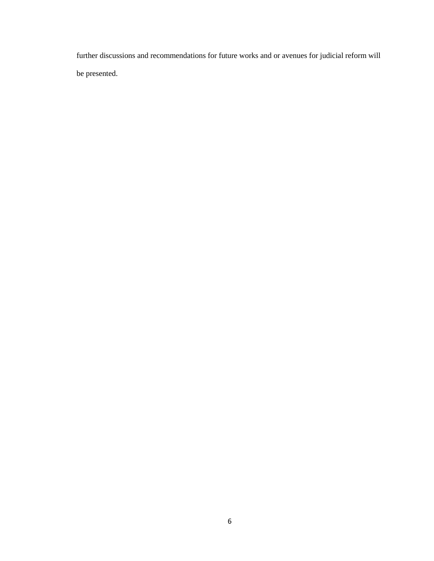further discussions and recommendations for future works and or avenues for judicial reform will be presented.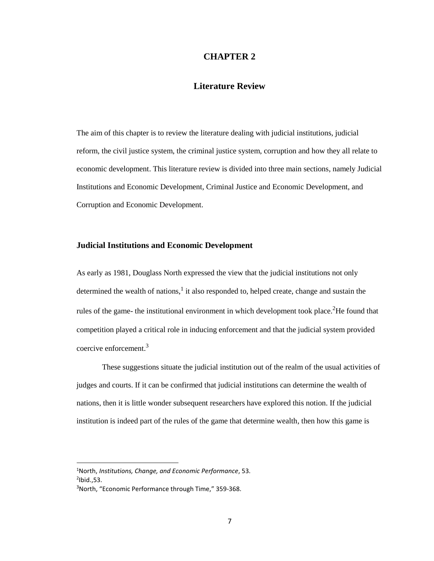## **CHAPTER 2**

# **Literature Review**

<span id="page-9-1"></span><span id="page-9-0"></span>The aim of this chapter is to review the literature dealing with judicial institutions, judicial reform, the civil justice system, the criminal justice system, corruption and how they all relate to economic development. This literature review is divided into three main sections, namely Judicial Institutions and Economic Development, Criminal Justice and Economic Development, and Corruption and Economic Development.

#### <span id="page-9-2"></span>**Judicial Institutions and Economic Development**

As early as 1981, Douglass North expressed the view that the judicial institutions not only determined the wealth of nations,<sup>1</sup> it also responded to, helped create, change and sustain the rules of the game- the institutional environment in which development took place.<sup>2</sup>He found that competition played a critical role in inducing enforcement and that the judicial system provided coercive enforcement. 3

These suggestions situate the judicial institution out of the realm of the usual activities of judges and courts. If it can be confirmed that judicial institutions can determine the wealth of nations, then it is little wonder subsequent researchers have explored this notion. If the judicial institution is indeed part of the rules of the game that determine wealth, then how this game is

 $\overline{a}$ 

<sup>1</sup>North, *Institutions, Change, and Economic Performance*, 53.  $<sup>2</sup>$ Ibid., 53.</sup>

<sup>&</sup>lt;sup>3</sup>North, "Economic Performance through Time," 359-368.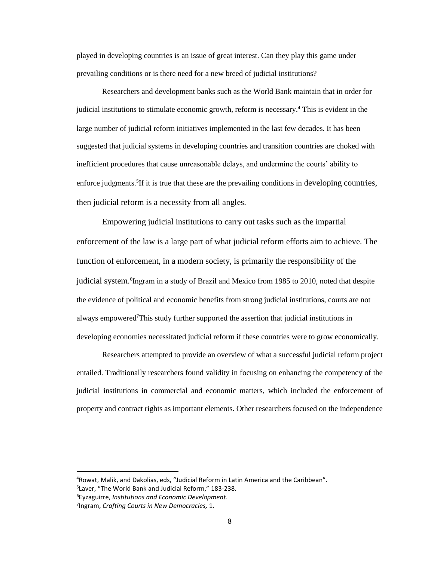played in developing countries is an issue of great interest. Can they play this game under prevailing conditions or is there need for a new breed of judicial institutions?

Researchers and development banks such as the World Bank maintain that in order for judicial institutions to stimulate economic growth, reform is necessary.<sup>4</sup> This is evident in the large number of judicial reform initiatives implemented in the last few decades. It has been suggested that judicial systems in developing countries and transition countries are choked with inefficient procedures that cause unreasonable delays, and undermine the courts' ability to enforce judgments.<sup>5</sup>If it is true that these are the prevailing conditions in developing countries, then judicial reform is a necessity from all angles.

Empowering judicial institutions to carry out tasks such as the impartial enforcement of the law is a large part of what judicial reform efforts aim to achieve. The function of enforcement, in a modern society, is primarily the responsibility of the judicial system.<sup>6</sup>Ingram in a study of Brazil and Mexico from 1985 to 2010, noted that despite the evidence of political and economic benefits from strong judicial institutions, courts are not always empowered<sup>7</sup>This study further supported the assertion that judicial institutions in developing economies necessitated judicial reform if these countries were to grow economically.

Researchers attempted to provide an overview of what a successful judicial reform project entailed. Traditionally researchers found validity in focusing on enhancing the competency of the judicial institutions in commercial and economic matters, which included the enforcement of property and contract rights as important elements. Other researchers focused on the independence

l

<sup>4</sup>Rowat, Malik, and Dakolias, eds, "Judicial Reform in Latin America and the Caribbean".

<sup>5</sup> Laver, "The World Bank and Judicial Reform," 183-238.

<sup>6</sup>Eyzaguirre, *Institutions and Economic Development*.

<sup>7</sup> Ingram, *Crafting Courts in New Democracies,* 1.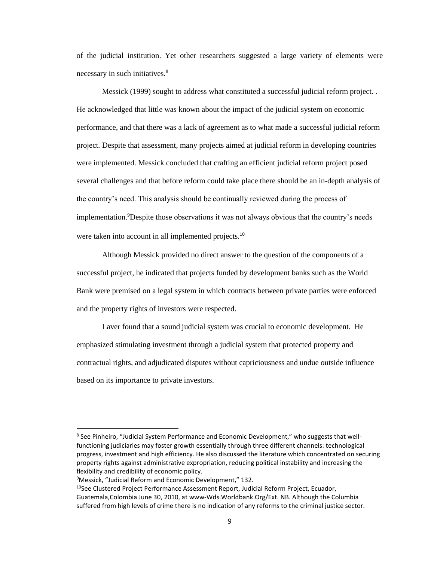of the judicial institution. Yet other researchers suggested a large variety of elements were necessary in such initiatives.<sup>8</sup>

Messick (1999) sought to address what constituted a successful judicial reform project. . He acknowledged that little was known about the impact of the judicial system on economic performance, and that there was a lack of agreement as to what made a successful judicial reform project. Despite that assessment, many projects aimed at judicial reform in developing countries were implemented. Messick concluded that crafting an efficient judicial reform project posed several challenges and that before reform could take place there should be an in-depth analysis of the country's need. This analysis should be continually reviewed during the process of implementation.<sup>9</sup>Despite those observations it was not always obvious that the country's needs were taken into account in all implemented projects.<sup>10</sup>

Although Messick provided no direct answer to the question of the components of a successful project, he indicated that projects funded by development banks such as the World Bank were premised on a legal system in which contracts between private parties were enforced and the property rights of investors were respected.

Laver found that a sound judicial system was crucial to economic development. He emphasized stimulating investment through a judicial system that protected property and contractual rights, and adjudicated disputes without capriciousness and undue outside influence based on its importance to private investors.

<sup>&</sup>lt;sup>8</sup> See Pinheiro, "Judicial System Performance and Economic Development," who suggests that wellfunctioning judiciaries may foster growth essentially through three different channels: technological progress, investment and high efficiency. He also discussed the literature which concentrated on securing property rights against administrative expropriation, reducing political instability and increasing the flexibility and credibility of economic policy.

<sup>&</sup>lt;sup>9</sup>Messick, "Judicial Reform and Economic Development," 132.

 $10$ See Clustered Project Performance Assessment Report, Judicial Reform Project, Ecuador, Guatemala,Colombia June 30, 2010, at www-Wds.Worldbank.Org/Ext. NB. Although the Columbia suffered from high levels of crime there is no indication of any reforms to the criminal justice sector.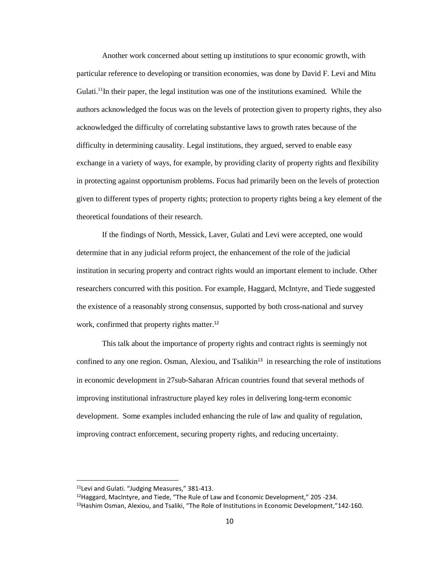Another work concerned about setting up institutions to spur economic growth, with particular reference to developing or transition economies, was done by David F. Levi and Mitu Gulati.<sup>11</sup>In their paper, the legal institution was one of the institutions examined. While the authors acknowledged the focus was on the levels of protection given to property rights, they also acknowledged the difficulty of correlating substantive laws to growth rates because of the difficulty in determining causality. Legal institutions, they argued, served to enable easy exchange in a variety of ways, for example, by providing clarity of property rights and flexibility in protecting against opportunism problems. Focus had primarily been on the levels of protection given to different types of property rights; protection to property rights being a key element of the theoretical foundations of their research.

If the findings of North, Messick, Laver, Gulati and Levi were accepted, one would determine that in any judicial reform project, the enhancement of the role of the judicial institution in securing property and contract rights would an important element to include. Other researchers concurred with this position. For example, Haggard, McIntyre, and Tiede suggested the existence of a reasonably strong consensus, supported by both cross-national and survey work, confirmed that property rights matter.<sup>12</sup>

This talk about the importance of property rights and contract rights is seemingly not confined to any one region. Osman, Alexiou, and Tsalikin<sup>13</sup> in researching the role of institutions in economic development in 27sub-Saharan African countries found that several methods of improving institutional infrastructure played key roles in delivering long-term economic development. Some examples included enhancing the rule of law and quality of regulation, improving contract enforcement, securing property rights, and reducing uncertainty.

 $\overline{a}$ 

<sup>&</sup>lt;sup>11</sup>Levi and Gulati. "Judging Measures," 381-413.

 $12$ Haggard, MacIntyre, and Tiede, "The Rule of Law and Economic Development," 205 -234.

<sup>&</sup>lt;sup>13</sup> Hashim Osman, Alexiou, and Tsaliki, "The Role of Institutions in Economic Development,"142-160.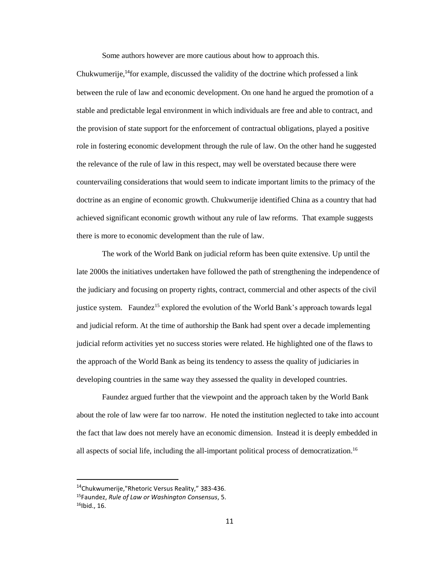Some authors however are more cautious about how to approach this.

Chukwumerije, <sup>14</sup>for example, discussed the validity of the doctrine which professed a link between the rule of law and economic development. On one hand he argued the promotion of a stable and predictable legal environment in which individuals are free and able to contract, and the provision of state support for the enforcement of contractual obligations, played a positive role in fostering economic development through the rule of law. On the other hand he suggested the relevance of the rule of law in this respect, may well be overstated because there were countervailing considerations that would seem to indicate important limits to the primacy of the doctrine as an engine of economic growth. Chukwumerije identified China as a country that had achieved significant economic growth without any rule of law reforms. That example suggests there is more to economic development than the rule of law.

The work of the World Bank on judicial reform has been quite extensive. Up until the late 2000s the initiatives undertaken have followed the path of strengthening the independence of the judiciary and focusing on property rights, contract, commercial and other aspects of the civil justice system. Faundez<sup>15</sup> explored the evolution of the World Bank's approach towards legal and judicial reform. At the time of authorship the Bank had spent over a decade implementing judicial reform activities yet no success stories were related. He highlighted one of the flaws to the approach of the World Bank as being its tendency to assess the quality of judiciaries in developing countries in the same way they assessed the quality in developed countries.

Faundez argued further that the viewpoint and the approach taken by the World Bank about the role of law were far too narrow. He noted the institution neglected to take into account the fact that law does not merely have an economic dimension. Instead it is deeply embedded in all aspects of social life, including the all-important political process of democratization. 16

<sup>14</sup>Chukwumerije,"Rhetoric Versus Reality," 383-436.

<sup>15</sup>Faundez, *Rule of Law or Washington Consensus*, 5.  $16$ Ibid., 16.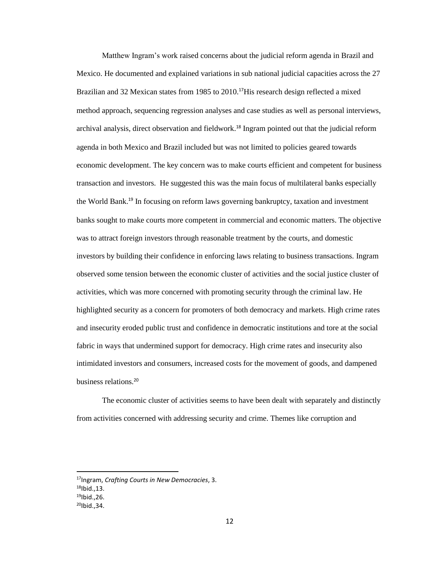Matthew Ingram's work raised concerns about the judicial reform agenda in Brazil and Mexico. He documented and explained variations in sub national judicial capacities across the 27 Brazilian and 32 Mexican states from 1985 to 2010.<sup>17</sup>His research design reflected a mixed method approach, sequencing regression analyses and case studies as well as personal interviews, archival analysis, direct observation and fieldwork. <sup>18</sup> Ingram pointed out that the judicial reform agenda in both Mexico and Brazil included but was not limited to policies geared towards economic development. The key concern was to make courts efficient and competent for business transaction and investors. He suggested this was the main focus of multilateral banks especially the World Bank.<sup>19</sup> In focusing on reform laws governing bankruptcy, taxation and investment banks sought to make courts more competent in commercial and economic matters. The objective was to attract foreign investors through reasonable treatment by the courts, and domestic investors by building their confidence in enforcing laws relating to business transactions. Ingram observed some tension between the economic cluster of activities and the social justice cluster of activities, which was more concerned with promoting security through the criminal law. He highlighted security as a concern for promoters of both democracy and markets. High crime rates and insecurity eroded public trust and confidence in democratic institutions and tore at the social fabric in ways that undermined support for democracy. High crime rates and insecurity also intimidated investors and consumers, increased costs for the movement of goods, and dampened business relations.<sup>20</sup>

The economic cluster of activities seems to have been dealt with separately and distinctly from activities concerned with addressing security and crime. Themes like corruption and

l

<sup>17</sup>Ingram, *Crafting Courts in New Democracies*, 3.

 $18$ Ibid., 13.

 $19$ Ibid., 26.

 $^{20}$ Ibid., 34.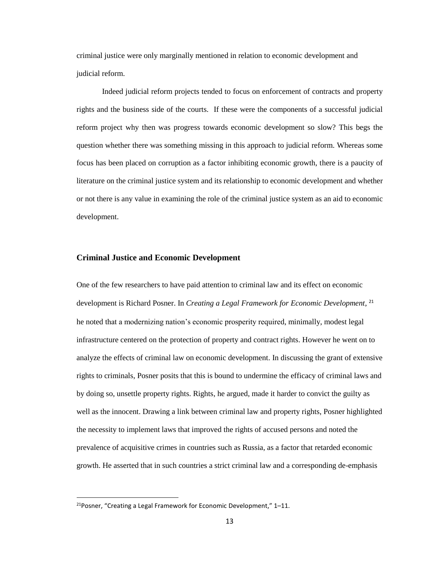criminal justice were only marginally mentioned in relation to economic development and judicial reform.

Indeed judicial reform projects tended to focus on enforcement of contracts and property rights and the business side of the courts. If these were the components of a successful judicial reform project why then was progress towards economic development so slow? This begs the question whether there was something missing in this approach to judicial reform. Whereas some focus has been placed on corruption as a factor inhibiting economic growth, there is a paucity of literature on the criminal justice system and its relationship to economic development and whether or not there is any value in examining the role of the criminal justice system as an aid to economic development.

#### <span id="page-15-0"></span>**Criminal Justice and Economic Development**

One of the few researchers to have paid attention to criminal law and its effect on economic development is Richard Posner. In *Creating a Legal Framework for Economic Development*, 21 he noted that a modernizing nation's economic prosperity required, minimally, modest legal infrastructure centered on the protection of property and contract rights. However he went on to analyze the effects of criminal law on economic development. In discussing the grant of extensive rights to criminals, Posner posits that this is bound to undermine the efficacy of criminal laws and by doing so, unsettle property rights. Rights, he argued, made it harder to convict the guilty as well as the innocent. Drawing a link between criminal law and property rights, Posner highlighted the necessity to implement laws that improved the rights of accused persons and noted the prevalence of acquisitive crimes in countries such as Russia, as a factor that retarded economic growth. He asserted that in such countries a strict criminal law and a corresponding de-emphasis

 $21$ Posner, "Creating a Legal Framework for Economic Development," 1-11.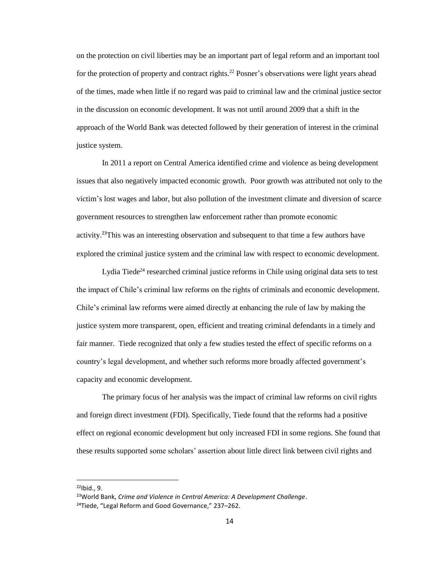on the protection on civil liberties may be an important part of legal reform and an important tool for the protection of property and contract rights.<sup>22</sup> Posner's observations were light years ahead of the times, made when little if no regard was paid to criminal law and the criminal justice sector in the discussion on economic development. It was not until around 2009 that a shift in the approach of the World Bank was detected followed by their generation of interest in the criminal justice system.

In 2011 a report on Central America identified crime and violence as being development issues that also negatively impacted economic growth. Poor growth was attributed not only to the victim's lost wages and labor, but also pollution of the investment climate and diversion of scarce government resources to strengthen law enforcement rather than promote economic activity.<sup>23</sup>This was an interesting observation and subsequent to that time a few authors have explored the criminal justice system and the criminal law with respect to economic development.

Lydia Tiede<sup>24</sup> researched criminal justice reforms in Chile using original data sets to test the impact of Chile's criminal law reforms on the rights of criminals and economic development. Chile's criminal law reforms were aimed directly at enhancing the rule of law by making the justice system more transparent, open, efficient and treating criminal defendants in a timely and fair manner. Tiede recognized that only a few studies tested the effect of specific reforms on a country's legal development, and whether such reforms more broadly affected government's capacity and economic development.

The primary focus of her analysis was the impact of criminal law reforms on civil rights and foreign direct investment (FDI). Specifically, Tiede found that the reforms had a positive effect on regional economic development but only increased FDI in some regions. She found that these results supported some scholars' assertion about little direct link between civil rights and

 $\overline{a}$ 

 $^{22}$ Ibid., 9.

<sup>23</sup>World Bank, *Crime and Violence in Central America: A Development Challenge*.

<sup>&</sup>lt;sup>24</sup>Tiede, "Legal Reform and Good Governance," 237-262.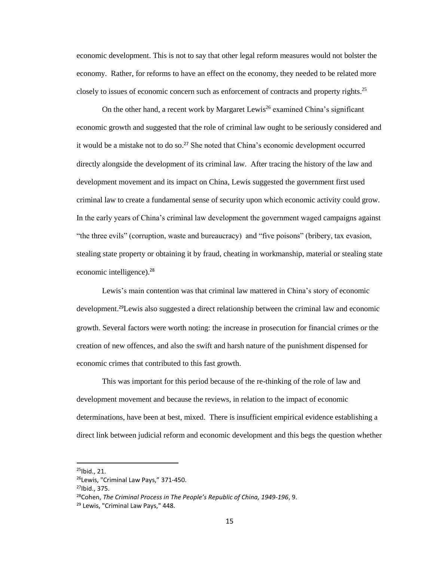economic development. This is not to say that other legal reform measures would not bolster the economy. Rather, for reforms to have an effect on the economy, they needed to be related more closely to issues of economic concern such as enforcement of contracts and property rights.<sup>25</sup>

On the other hand, a recent work by Margaret Lewis<sup>26</sup> examined China's significant economic growth and suggested that the role of criminal law ought to be seriously considered and it would be a mistake not to do so. <sup>27</sup> She noted that China's economic development occurred directly alongside the development of its criminal law. After tracing the history of the law and development movement and its impact on China, Lewis suggested the government first used criminal law to create a fundamental sense of security upon which economic activity could grow. In the early years of China's criminal law development the government waged campaigns against "the three evils" (corruption, waste and bureaucracy) and "five poisons" (bribery, tax evasion, stealing state property or obtaining it by fraud, cheating in workmanship, material or stealing state economic intelligence).<sup>28</sup>

Lewis's main contention was that criminal law mattered in China's story of economic development. <sup>29</sup>Lewis also suggested a direct relationship between the criminal law and economic growth. Several factors were worth noting: the increase in prosecution for financial crimes or the creation of new offences, and also the swift and harsh nature of the punishment dispensed for economic crimes that contributed to this fast growth.

This was important for this period because of the re-thinking of the role of law and development movement and because the reviews, in relation to the impact of economic determinations, have been at best, mixed. There is insufficient empirical evidence establishing a direct link between judicial reform and economic development and this begs the question whether

 $^{25}$ Ibid., 21.

<sup>&</sup>lt;sup>26</sup>Lewis, "Criminal Law Pays," 371-450.

 $27$ Ibid., 375.

<sup>28</sup>Cohen, *The Criminal Process in The People's Republic of China, 1949-196*, 9.

<sup>&</sup>lt;sup>29</sup> Lewis, "Criminal Law Pays," 448.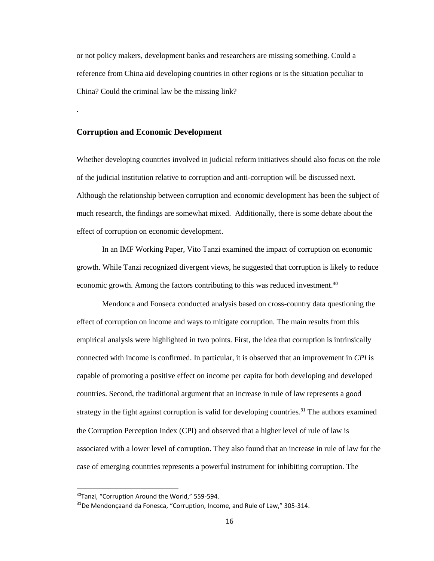or not policy makers, development banks and researchers are missing something. Could a reference from China aid developing countries in other regions or is the situation peculiar to China? Could the criminal law be the missing link?

#### <span id="page-18-0"></span>**Corruption and Economic Development**

.

Whether developing countries involved in judicial reform initiatives should also focus on the role of the judicial institution relative to corruption and anti-corruption will be discussed next. Although the relationship between corruption and economic development has been the subject of much research, the findings are somewhat mixed. Additionally, there is some debate about the effect of corruption on economic development.

In an IMF Working Paper, Vito Tanzi examined the impact of corruption on economic growth. While Tanzi recognized divergent views, he suggested that corruption is likely to reduce economic growth. Among the factors contributing to this was reduced investment.<sup>30</sup>

Mendonca and Fonseca conducted analysis based on cross-country data questioning the effect of corruption on income and ways to mitigate corruption. The main results from this empirical analysis were highlighted in two points. First, the idea that corruption is intrinsically connected with income is confirmed. In particular, it is observed that an improvement in *CPI* is capable of promoting a positive effect on income per capita for both developing and developed countries. Second, the traditional argument that an increase in rule of law represents a good strategy in the fight against corruption is valid for developing countries.<sup>31</sup> The authors examined the Corruption Perception Index (CPI) and observed that a higher level of rule of law is associated with a lower level of corruption. They also found that an increase in rule of law for the case of emerging countries represents a powerful instrument for inhibiting corruption. The

 $\overline{a}$ 

<sup>30</sup>Tanzi, "Corruption Around the World," 559-594.

 $31$ De Mendonçaand da Fonesca, "Corruption, Income, and Rule of Law," 305-314.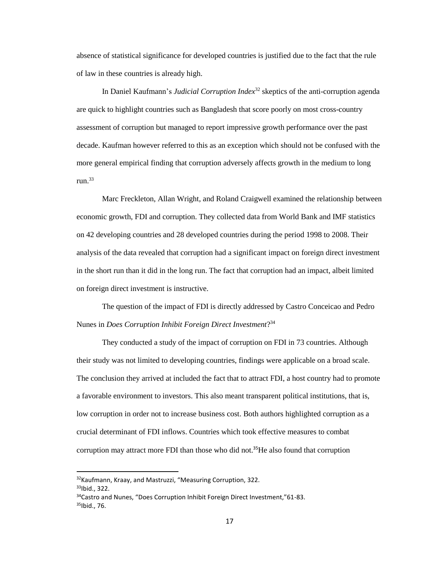absence of statistical significance for developed countries is justified due to the fact that the rule of law in these countries is already high.

In Daniel Kaufmann's *Judicial Corruption Index*<sup>32</sup> skeptics of the anti-corruption agenda are quick to highlight countries such as Bangladesh that score poorly on most cross-country assessment of corruption but managed to report impressive growth performance over the past decade. Kaufman however referred to this as an exception which should not be confused with the more general empirical finding that corruption adversely affects growth in the medium to long run.<sup>33</sup>

Marc Freckleton, Allan Wright, and Roland Craigwell examined the relationship between economic growth, FDI and corruption. They collected data from World Bank and IMF statistics on 42 developing countries and 28 developed countries during the period 1998 to 2008. Their analysis of the data revealed that corruption had a significant impact on foreign direct investment in the short run than it did in the long run. The fact that corruption had an impact, albeit limited on foreign direct investment is instructive.

The question of the impact of FDI is directly addressed by Castro Conceicao and Pedro Nunes in *Does Corruption Inhibit Foreign Direct Investment*? 34

They conducted a study of the impact of corruption on FDI in 73 countries. Although their study was not limited to developing countries, findings were applicable on a broad scale. The conclusion they arrived at included the fact that to attract FDI, a host country had to promote a favorable environment to investors. This also meant transparent political institutions, that is, low corruption in order not to increase business cost. Both authors highlighted corruption as a crucial determinant of FDI inflows. Countries which took effective measures to combat corruption may attract more FDI than those who did not.<sup>35</sup>He also found that corruption

l

<sup>&</sup>lt;sup>32</sup>Kaufmann, Kraay, and Mastruzzi, "Measuring Corruption, 322.

<sup>33</sup>Ibid., 322.

<sup>&</sup>lt;sup>34</sup>Castro and Nunes, "Does Corruption Inhibit Foreign Direct Investment,"61-83. 35Ibid., 76.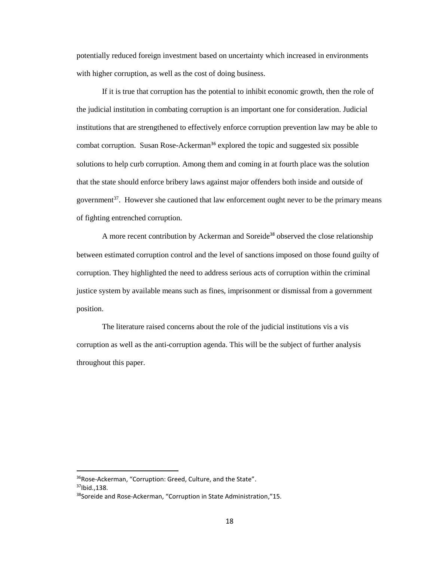potentially reduced foreign investment based on uncertainty which increased in environments with higher corruption, as well as the cost of doing business.

If it is true that corruption has the potential to inhibit economic growth, then the role of the judicial institution in combating corruption is an important one for consideration. Judicial institutions that are strengthened to effectively enforce corruption prevention law may be able to combat corruption. Susan Rose-Ackerman<sup>36</sup> explored the topic and suggested six possible solutions to help curb corruption. Among them and coming in at fourth place was the solution that the state should enforce bribery laws against major offenders both inside and outside of government<sup>37</sup>. However she cautioned that law enforcement ought never to be the primary means of fighting entrenched corruption.

A more recent contribution by Ackerman and Soreide<sup>38</sup> observed the close relationship between estimated corruption control and the level of sanctions imposed on those found guilty of corruption. They highlighted the need to address serious acts of corruption within the criminal justice system by available means such as fines, imprisonment or dismissal from a government position.

The literature raised concerns about the role of the judicial institutions vis a vis corruption as well as the anti-corruption agenda. This will be the subject of further analysis throughout this paper.

 $\overline{a}$ 

<sup>36</sup>Rose-Ackerman, "Corruption: Greed, Culture, and the State".  $37$ Ibid., 138.

<sup>38</sup>Soreide and Rose-Ackerman, "Corruption in State Administration,"15.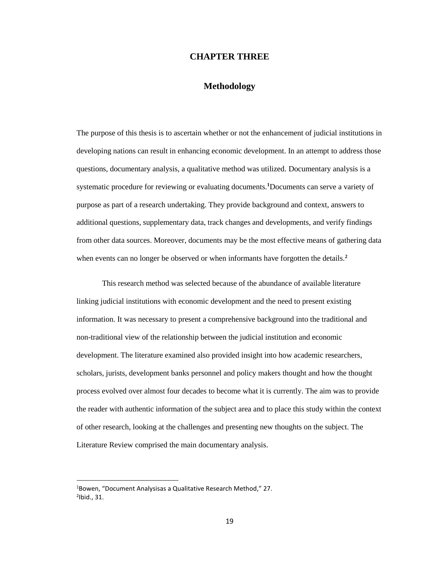## **CHAPTER THREE**

## **Methodology**

<span id="page-21-1"></span><span id="page-21-0"></span>The purpose of this thesis is to ascertain whether or not the enhancement of judicial institutions in developing nations can result in enhancing economic development. In an attempt to address those questions, documentary analysis, a qualitative method was utilized. Documentary analysis is a systematic procedure for reviewing or evaluating documents.**<sup>1</sup>**Documents can serve a variety of purpose as part of a research undertaking. They provide background and context, answers to additional questions, supplementary data, track changes and developments, and verify findings from other data sources. Moreover, documents may be the most effective means of gathering data when events can no longer be observed or when informants have forgotten the details.<sup>2</sup>

This research method was selected because of the abundance of available literature linking judicial institutions with economic development and the need to present existing information. It was necessary to present a comprehensive background into the traditional and non-traditional view of the relationship between the judicial institution and economic development. The literature examined also provided insight into how academic researchers, scholars, jurists, development banks personnel and policy makers thought and how the thought process evolved over almost four decades to become what it is currently. The aim was to provide the reader with authentic information of the subject area and to place this study within the context of other research, looking at the challenges and presenting new thoughts on the subject. The Literature Review comprised the main documentary analysis.

 $\overline{a}$ 

<sup>1</sup>Bowen, "Document Analysisas a Qualitative Research Method," 27.  $<sup>2</sup>$ Ibid., 31.</sup>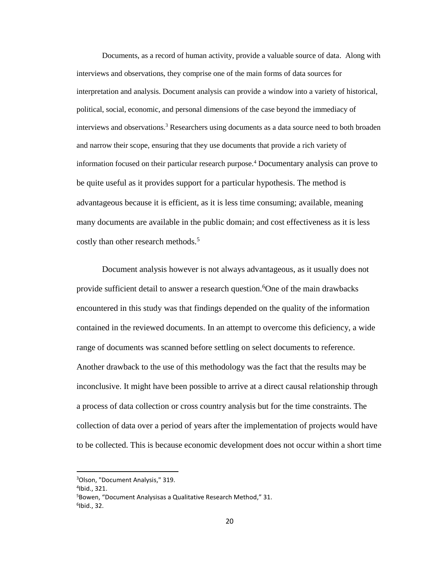Documents, as a record of human activity, provide a valuable source of data. Along with interviews and observations, they comprise one of the main forms of data sources for interpretation and analysis. Document analysis can provide a window into a variety of historical, political, social, economic, and personal dimensions of the case beyond the immediacy of interviews and observations.<sup>3</sup> Researchers using documents as a data source need to both broaden and narrow their scope, ensuring that they use documents that provide a rich variety of information focused on their particular research purpose.<sup>4</sup> Documentary analysis can prove to be quite useful as it provides support for a particular hypothesis. The method is advantageous because it is efficient, as it is less time consuming; available, meaning many documents are available in the public domain; and cost effectiveness as it is less costly than other research methods.<sup>5</sup>

Document analysis however is not always advantageous, as it usually does not provide sufficient detail to answer a research question.<sup>6</sup>One of the main drawbacks encountered in this study was that findings depended on the quality of the information contained in the reviewed documents. In an attempt to overcome this deficiency, a wide range of documents was scanned before settling on select documents to reference. Another drawback to the use of this methodology was the fact that the results may be inconclusive. It might have been possible to arrive at a direct causal relationship through a process of data collection or cross country analysis but for the time constraints. The collection of data over a period of years after the implementation of projects would have to be collected. This is because economic development does not occur within a short time

l

<sup>3</sup>Olson, "Document Analysis," 319.

<sup>4</sup> Ibid., 321.

<sup>&</sup>lt;sup>5</sup>Bowen, "Document Analysisas a Qualitative Research Method," 31. 6 Ibid., 32.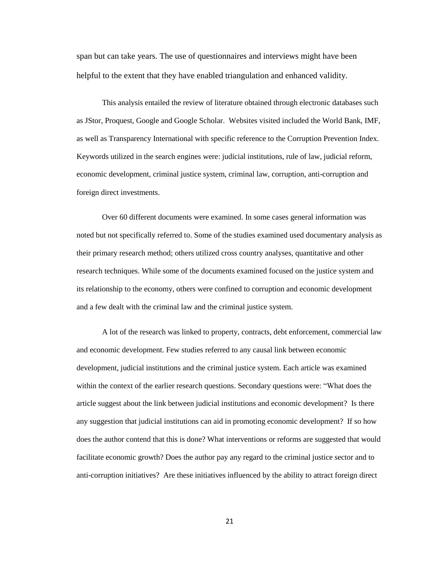span but can take years. The use of questionnaires and interviews might have been helpful to the extent that they have enabled triangulation and enhanced validity.

This analysis entailed the review of literature obtained through electronic databases such as JStor, Proquest, Google and Google Scholar. Websites visited included the World Bank, IMF, as well as Transparency International with specific reference to the Corruption Prevention Index. Keywords utilized in the search engines were: judicial institutions, rule of law, judicial reform, economic development, criminal justice system, criminal law, corruption, anti-corruption and foreign direct investments.

Over 60 different documents were examined. In some cases general information was noted but not specifically referred to. Some of the studies examined used documentary analysis as their primary research method; others utilized cross country analyses, quantitative and other research techniques. While some of the documents examined focused on the justice system and its relationship to the economy, others were confined to corruption and economic development and a few dealt with the criminal law and the criminal justice system.

A lot of the research was linked to property, contracts, debt enforcement, commercial law and economic development. Few studies referred to any causal link between economic development, judicial institutions and the criminal justice system. Each article was examined within the context of the earlier research questions. Secondary questions were: "What does the article suggest about the link between judicial institutions and economic development? Is there any suggestion that judicial institutions can aid in promoting economic development? If so how does the author contend that this is done? What interventions or reforms are suggested that would facilitate economic growth? Does the author pay any regard to the criminal justice sector and to anti-corruption initiatives? Are these initiatives influenced by the ability to attract foreign direct

21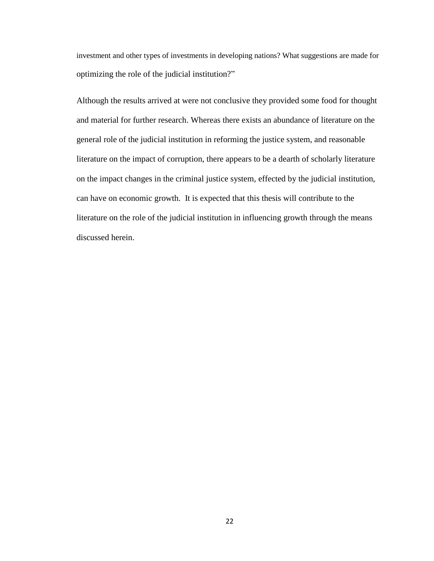investment and other types of investments in developing nations? What suggestions are made for optimizing the role of the judicial institution?"

Although the results arrived at were not conclusive they provided some food for thought and material for further research. Whereas there exists an abundance of literature on the general role of the judicial institution in reforming the justice system, and reasonable literature on the impact of corruption, there appears to be a dearth of scholarly literature on the impact changes in the criminal justice system, effected by the judicial institution, can have on economic growth. It is expected that this thesis will contribute to the literature on the role of the judicial institution in influencing growth through the means discussed herein.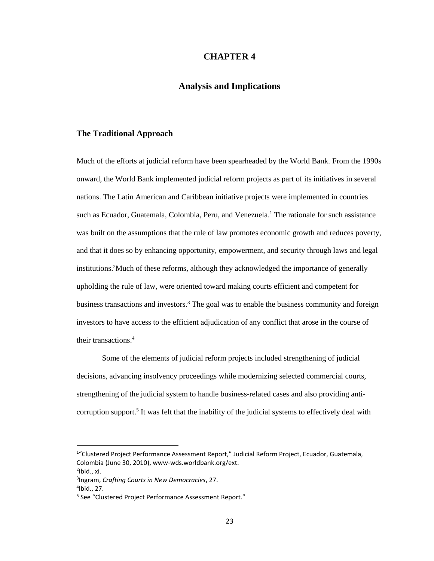## **CHAPTER 4**

# **Analysis and Implications**

#### <span id="page-25-2"></span><span id="page-25-1"></span><span id="page-25-0"></span>**The Traditional Approach**

Much of the efforts at judicial reform have been spearheaded by the World Bank. From the 1990s onward, the World Bank implemented judicial reform projects as part of its initiatives in several nations. The Latin American and Caribbean initiative projects were implemented in countries such as Ecuador, Guatemala, Colombia, Peru, and Venezuela. <sup>1</sup> The rationale for such assistance was built on the assumptions that the rule of law promotes economic growth and reduces poverty, and that it does so by enhancing opportunity, empowerment, and security through laws and legal institutions.<sup>2</sup>Much of these reforms, although they acknowledged the importance of generally upholding the rule of law, were oriented toward making courts efficient and competent for business transactions and investors.<sup>3</sup> The goal was to enable the business community and foreign investors to have access to the efficient adjudication of any conflict that arose in the course of their transactions.<sup>4</sup>

Some of the elements of judicial reform projects included strengthening of judicial decisions, advancing insolvency proceedings while modernizing selected commercial courts, strengthening of the judicial system to handle business-related cases and also providing anticorruption support.<sup>5</sup> It was felt that the inability of the judicial systems to effectively deal with

<sup>&</sup>lt;sup>1</sup>"Clustered Project Performance Assessment Report," Judicial Reform Project, Ecuador, Guatemala, Colombia (June 30, 2010), www-wds.worldbank.org/ext. <sup>2</sup>lbid., xi.

<sup>3</sup> Ingram, *Crafting Courts in New Democracies*, 27.

<sup>4</sup> Ibid., 27.

<sup>&</sup>lt;sup>5</sup> See "Clustered Project Performance Assessment Report."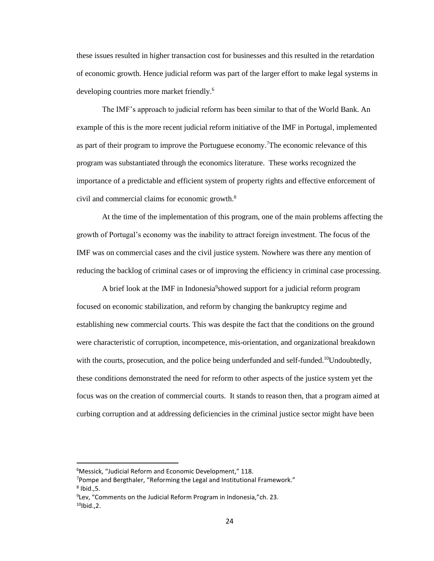these issues resulted in higher transaction cost for businesses and this resulted in the retardation of economic growth. Hence judicial reform was part of the larger effort to make legal systems in developing countries more market friendly.<sup>6</sup>

The IMF's approach to judicial reform has been similar to that of the World Bank. An example of this is the more recent judicial reform initiative of the IMF in Portugal, implemented as part of their program to improve the Portuguese economy.<sup>7</sup>The economic relevance of this program was substantiated through the economics literature. These works recognized the importance of a predictable and efficient system of property rights and effective enforcement of civil and commercial claims for economic growth.<sup>8</sup>

At the time of the implementation of this program, one of the main problems affecting the growth of Portugal's economy was the inability to attract foreign investment. The focus of the IMF was on commercial cases and the civil justice system. Nowhere was there any mention of reducing the backlog of criminal cases or of improving the efficiency in criminal case processing.

A brief look at the IMF in Indonesia<sup>9</sup> showed support for a judicial reform program focused on economic stabilization, and reform by changing the bankruptcy regime and establishing new commercial courts. This was despite the fact that the conditions on the ground were characteristic of corruption, incompetence, mis-orientation, and organizational breakdown with the courts, prosecution, and the police being underfunded and self-funded.<sup>10</sup>Undoubtedly, these conditions demonstrated the need for reform to other aspects of the justice system yet the focus was on the creation of commercial courts. It stands to reason then, that a program aimed at curbing corruption and at addressing deficiencies in the criminal justice sector might have been

<sup>6</sup>Messick, "Judicial Reform and Economic Development," 118.

<sup>7</sup>Pompe and Bergthaler, "Reforming the Legal and Institutional Framework."  $^8$  Ibid.,5.

<sup>9</sup> Lev, "Comments on the Judicial Reform Program in Indonesia,"ch. 23.  $10$ Ibid., 2.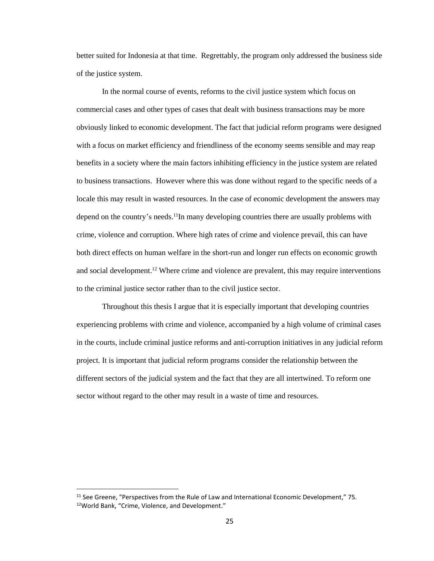better suited for Indonesia at that time. Regrettably, the program only addressed the business side of the justice system.

In the normal course of events, reforms to the civil justice system which focus on commercial cases and other types of cases that dealt with business transactions may be more obviously linked to economic development. The fact that judicial reform programs were designed with a focus on market efficiency and friendliness of the economy seems sensible and may reap benefits in a society where the main factors inhibiting efficiency in the justice system are related to business transactions. However where this was done without regard to the specific needs of a locale this may result in wasted resources. In the case of economic development the answers may depend on the country's needs.<sup>11</sup>In many developing countries there are usually problems with crime, violence and corruption. Where high rates of crime and violence prevail, this can have both direct effects on human welfare in the short-run and longer run effects on economic growth and social development.<sup>12</sup> Where crime and violence are prevalent, this may require interventions to the criminal justice sector rather than to the civil justice sector.

Throughout this thesis I argue that it is especially important that developing countries experiencing problems with crime and violence, accompanied by a high volume of criminal cases in the courts, include criminal justice reforms and anti-corruption initiatives in any judicial reform project. It is important that judicial reform programs consider the relationship between the different sectors of the judicial system and the fact that they are all intertwined. To reform one sector without regard to the other may result in a waste of time and resources.

 $11$  See Greene, "Perspectives from the Rule of Law and International Economic Development," 75. 12World Bank, "Crime, Violence, and Development."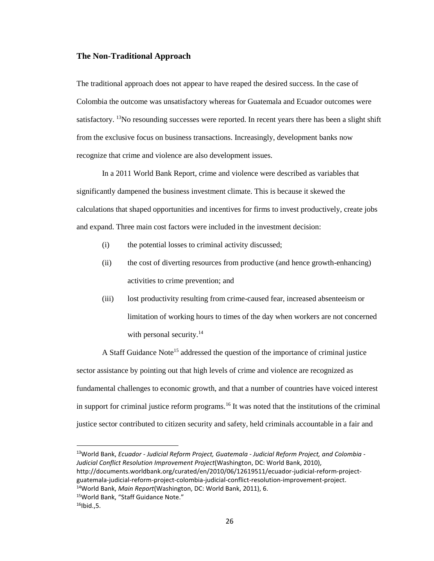#### <span id="page-28-0"></span>**The Non-Traditional Approach**

The traditional approach does not appear to have reaped the desired success. In the case of Colombia the outcome was unsatisfactory whereas for Guatemala and Ecuador outcomes were satisfactory. <sup>13</sup>No resounding successes were reported. In recent years there has been a slight shift from the exclusive focus on business transactions. Increasingly, development banks now recognize that crime and violence are also development issues.

In a 2011 World Bank Report, crime and violence were described as variables that significantly dampened the business investment climate. This is because it skewed the calculations that shaped opportunities and incentives for firms to invest productively, create jobs and expand. Three main cost factors were included in the investment decision:

- (i) the potential losses to criminal activity discussed;
- (ii) the cost of diverting resources from productive (and hence growth-enhancing) activities to crime prevention; and
- (iii) lost productivity resulting from crime-caused fear, increased absenteeism or limitation of working hours to times of the day when workers are not concerned with personal security. $14$

A Staff Guidance Note<sup>15</sup> addressed the question of the importance of criminal justice sector assistance by pointing out that high levels of crime and violence are recognized as fundamental challenges to economic growth, and that a number of countries have voiced interest in support for criminal justice reform programs.<sup>16</sup> It was noted that the institutions of the criminal justice sector contributed to citizen security and safety, held criminals accountable in a fair and

<sup>13</sup>World Bank, *Ecuador - Judicial Reform Project, Guatemala - Judicial Reform Project, and Colombia - Judicial Conflict Resolution Improvement Project*(Washington, DC: World Bank, 2010), http://documents.worldbank.org/curated/en/2010/06/12619511/ecuador-judicial-reform-project-

guatemala-judicial-reform-project-colombia-judicial-conflict-resolution-improvement-project.

<sup>14</sup>World Bank, *Main Report*(Washington, DC: World Bank, 2011), 6.

<sup>15</sup>World Bank, "Staff Guidance Note."

 $16$ Ibid., 5.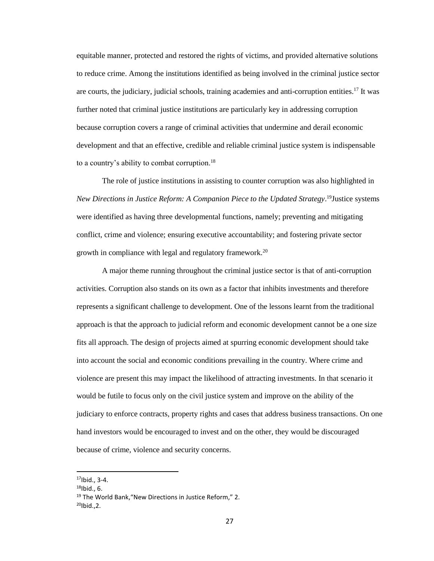equitable manner, protected and restored the rights of victims, and provided alternative solutions to reduce crime. Among the institutions identified as being involved in the criminal justice sector are courts, the judiciary, judicial schools, training academies and anti-corruption entities.<sup>17</sup> It was further noted that criminal justice institutions are particularly key in addressing corruption because corruption covers a range of criminal activities that undermine and derail economic development and that an effective, credible and reliable criminal justice system is indispensable to a country's ability to combat corruption.<sup>18</sup>

The role of justice institutions in assisting to counter corruption was also highlighted in *New Directions in Justice Reform: A Companion Piece to the Updated Strategy*. <sup>19</sup>Justice systems were identified as having three developmental functions, namely; preventing and mitigating conflict, crime and violence; ensuring executive accountability; and fostering private sector growth in compliance with legal and regulatory framework.<sup>20</sup>

A major theme running throughout the criminal justice sector is that of anti-corruption activities. Corruption also stands on its own as a factor that inhibits investments and therefore represents a significant challenge to development. One of the lessons learnt from the traditional approach is that the approach to judicial reform and economic development cannot be a one size fits all approach. The design of projects aimed at spurring economic development should take into account the social and economic conditions prevailing in the country. Where crime and violence are present this may impact the likelihood of attracting investments. In that scenario it would be futile to focus only on the civil justice system and improve on the ability of the judiciary to enforce contracts, property rights and cases that address business transactions. On one hand investors would be encouraged to invest and on the other, they would be discouraged because of crime, violence and security concerns.

l

 $17$ Ibid., 3-4.

 $18$ Ibid., 6.

<sup>&</sup>lt;sup>19</sup> The World Bank, "New Directions in Justice Reform," 2.  $^{20}$ Ibid., 2.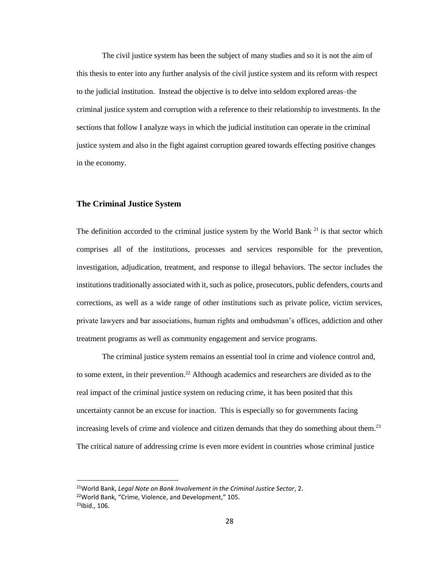The civil justice system has been the subject of many studies and so it is not the aim of this thesis to enter into any further analysis of the civil justice system and its reform with respect to the judicial institution. Instead the objective is to delve into seldom explored areas–the criminal justice system and corruption with a reference to their relationship to investments. In the sections that follow I analyze ways in which the judicial institution can operate in the criminal justice system and also in the fight against corruption geared towards effecting positive changes in the economy.

#### <span id="page-30-0"></span>**The Criminal Justice System**

The definition accorded to the criminal justice system by the World Bank  $21$  is that sector which comprises all of the institutions, processes and services responsible for the prevention, investigation, adjudication, treatment, and response to illegal behaviors. The sector includes the institutions traditionally associated with it, such as police, prosecutors, public defenders, courts and corrections, as well as a wide range of other institutions such as private police, victim services, private lawyers and bar associations, human rights and ombudsman's offices, addiction and other treatment programs as well as community engagement and service programs.

The criminal justice system remains an essential tool in crime and violence control and, to some extent, in their prevention.<sup>22</sup> Although academics and researchers are divided as to the real impact of the criminal justice system on reducing crime, it has been posited that this uncertainty cannot be an excuse for inaction. This is especially so for governments facing increasing levels of crime and violence and citizen demands that they do something about them.<sup>23</sup> The critical nature of addressing crime is even more evident in countries whose criminal justice

 $\overline{a}$ 

<sup>21</sup>World Bank, *Legal Note on Bank Involvement in the Criminal Justice Sector*, 2. <sup>22</sup>World Bank, "Crime, Violence, and Development," 105. 23Ibid., 106.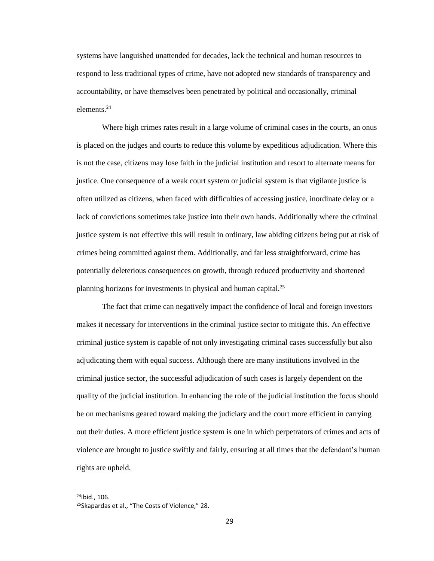systems have languished unattended for decades, lack the technical and human resources to respond to less traditional types of crime, have not adopted new standards of transparency and accountability, or have themselves been penetrated by political and occasionally, criminal elements.<sup>24</sup>

Where high crimes rates result in a large volume of criminal cases in the courts, an onus is placed on the judges and courts to reduce this volume by expeditious adjudication. Where this is not the case, citizens may lose faith in the judicial institution and resort to alternate means for justice. One consequence of a weak court system or judicial system is that vigilante justice is often utilized as citizens, when faced with difficulties of accessing justice, inordinate delay or a lack of convictions sometimes take justice into their own hands. Additionally where the criminal justice system is not effective this will result in ordinary, law abiding citizens being put at risk of crimes being committed against them. Additionally, and far less straightforward, crime has potentially deleterious consequences on growth, through reduced productivity and shortened planning horizons for investments in physical and human capital.<sup>25</sup>

The fact that crime can negatively impact the confidence of local and foreign investors makes it necessary for interventions in the criminal justice sector to mitigate this. An effective criminal justice system is capable of not only investigating criminal cases successfully but also adjudicating them with equal success. Although there are many institutions involved in the criminal justice sector, the successful adjudication of such cases is largely dependent on the quality of the judicial institution. In enhancing the role of the judicial institution the focus should be on mechanisms geared toward making the judiciary and the court more efficient in carrying out their duties. A more efficient justice system is one in which perpetrators of crimes and acts of violence are brought to justice swiftly and fairly, ensuring at all times that the defendant's human rights are upheld.

 $^{24}$ Ibid., 106.

<sup>&</sup>lt;sup>25</sup>Skapardas et al., "The Costs of Violence," 28.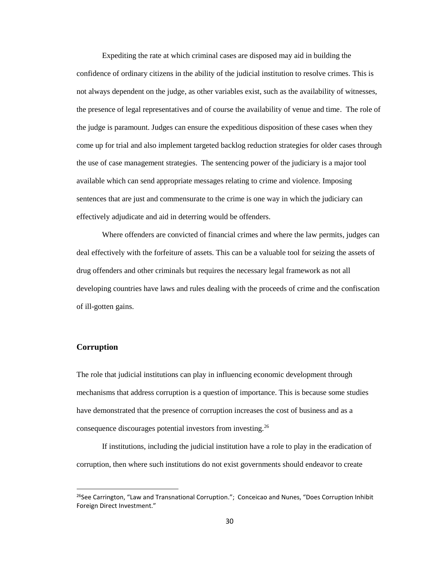Expediting the rate at which criminal cases are disposed may aid in building the confidence of ordinary citizens in the ability of the judicial institution to resolve crimes. This is not always dependent on the judge, as other variables exist, such as the availability of witnesses, the presence of legal representatives and of course the availability of venue and time. The role of the judge is paramount. Judges can ensure the expeditious disposition of these cases when they come up for trial and also implement targeted backlog reduction strategies for older cases through the use of case management strategies. The sentencing power of the judiciary is a major tool available which can send appropriate messages relating to crime and violence. Imposing sentences that are just and commensurate to the crime is one way in which the judiciary can effectively adjudicate and aid in deterring would be offenders.

Where offenders are convicted of financial crimes and where the law permits, judges can deal effectively with the forfeiture of assets. This can be a valuable tool for seizing the assets of drug offenders and other criminals but requires the necessary legal framework as not all developing countries have laws and rules dealing with the proceeds of crime and the confiscation of ill-gotten gains.

#### <span id="page-32-0"></span>**Corruption**

 $\overline{\phantom{a}}$ 

The role that judicial institutions can play in influencing economic development through mechanisms that address corruption is a question of importance. This is because some studies have demonstrated that the presence of corruption increases the cost of business and as a consequence discourages potential investors from investing.<sup>26</sup>

If institutions, including the judicial institution have a role to play in the eradication of corruption, then where such institutions do not exist governments should endeavor to create

<sup>&</sup>lt;sup>26</sup>See Carrington, "Law and Transnational Corruption."; Conceicao and Nunes, "Does Corruption Inhibit Foreign Direct Investment."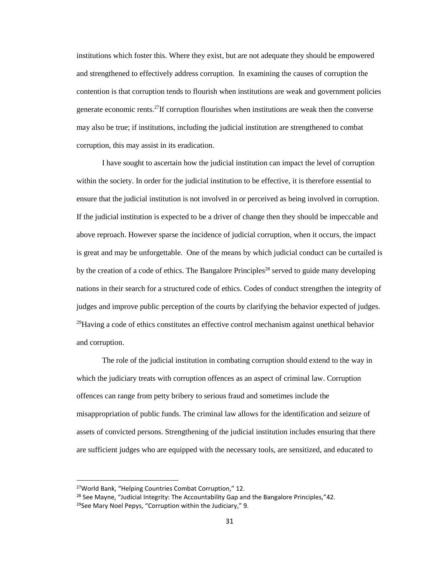institutions which foster this. Where they exist, but are not adequate they should be empowered and strengthened to effectively address corruption. In examining the causes of corruption the contention is that corruption tends to flourish when institutions are weak and government policies generate economic rents. <sup>27</sup>If corruption flourishes when institutions are weak then the converse may also be true; if institutions, including the judicial institution are strengthened to combat corruption, this may assist in its eradication.

I have sought to ascertain how the judicial institution can impact the level of corruption within the society. In order for the judicial institution to be effective, it is therefore essential to ensure that the judicial institution is not involved in or perceived as being involved in corruption. If the judicial institution is expected to be a driver of change then they should be impeccable and above reproach. However sparse the incidence of judicial corruption, when it occurs, the impact is great and may be unforgettable. One of the means by which judicial conduct can be curtailed is by the creation of a code of ethics. The Bangalore Principles<sup>28</sup> served to guide many developing nations in their search for a structured code of ethics. Codes of conduct strengthen the integrity of judges and improve public perception of the courts by clarifying the behavior expected of judges.  $^{29}$ Having a code of ethics constitutes an effective control mechanism against unethical behavior and corruption.

The role of the judicial institution in combating corruption should extend to the way in which the judiciary treats with corruption offences as an aspect of criminal law. Corruption offences can range from petty bribery to serious fraud and sometimes include the misappropriation of public funds. The criminal law allows for the identification and seizure of assets of convicted persons. Strengthening of the judicial institution includes ensuring that there are sufficient judges who are equipped with the necessary tools, are sensitized, and educated to

 $\overline{a}$ 

<sup>27</sup>World Bank, "Helping Countries Combat Corruption," 12.

<sup>&</sup>lt;sup>28</sup> See Mayne, "Judicial Integrity: The Accountability Gap and the Bangalore Principles,"42. <sup>29</sup>See Mary Noel Pepys, "Corruption within the Judiciary," 9.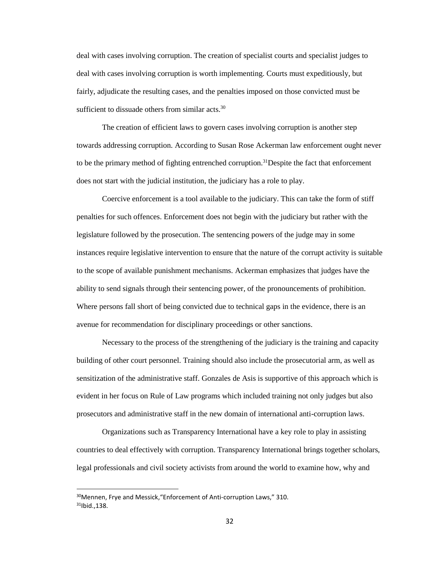deal with cases involving corruption. The creation of specialist courts and specialist judges to deal with cases involving corruption is worth implementing. Courts must expeditiously, but fairly, adjudicate the resulting cases, and the penalties imposed on those convicted must be sufficient to dissuade others from similar acts.<sup>30</sup>

The creation of efficient laws to govern cases involving corruption is another step towards addressing corruption. According to Susan Rose Ackerman law enforcement ought never to be the primary method of fighting entrenched corruption.<sup>31</sup>Despite the fact that enforcement does not start with the judicial institution, the judiciary has a role to play.

Coercive enforcement is a tool available to the judiciary. This can take the form of stiff penalties for such offences. Enforcement does not begin with the judiciary but rather with the legislature followed by the prosecution. The sentencing powers of the judge may in some instances require legislative intervention to ensure that the nature of the corrupt activity is suitable to the scope of available punishment mechanisms. Ackerman emphasizes that judges have the ability to send signals through their sentencing power, of the pronouncements of prohibition. Where persons fall short of being convicted due to technical gaps in the evidence, there is an avenue for recommendation for disciplinary proceedings or other sanctions.

Necessary to the process of the strengthening of the judiciary is the training and capacity building of other court personnel. Training should also include the prosecutorial arm, as well as sensitization of the administrative staff. Gonzales de Asis is supportive of this approach which is evident in her focus on Rule of Law programs which included training not only judges but also prosecutors and administrative staff in the new domain of international anti-corruption laws.

Organizations such as Transparency International have a key role to play in assisting countries to deal effectively with corruption. Transparency International brings together scholars, legal professionals and civil society activists from around the world to examine how, why and

<sup>&</sup>lt;sup>30</sup> Mennen, Frye and Messick, "Enforcement of Anti-corruption Laws," 310.  $31$ Ibid., 138.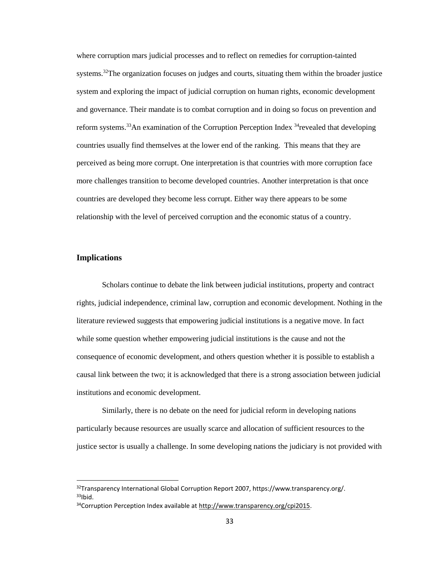where corruption mars judicial processes and to reflect on remedies for corruption-tainted systems.<sup>32</sup>The organization focuses on judges and courts, situating them within the broader justice system and exploring the impact of judicial corruption on human rights, economic development and governance. Their mandate is to combat corruption and in doing so focus on prevention and reform systems.<sup>33</sup>An examination of the Corruption Perception Index <sup>34</sup>revealed that developing countries usually find themselves at the lower end of the ranking. This means that they are perceived as being more corrupt. One interpretation is that countries with more corruption face more challenges transition to become developed countries. Another interpretation is that once countries are developed they become less corrupt. Either way there appears to be some relationship with the level of perceived corruption and the economic status of a country.

## <span id="page-35-0"></span>**Implications**

 $\overline{a}$ 

Scholars continue to debate the link between judicial institutions, property and contract rights, judicial independence, criminal law, corruption and economic development. Nothing in the literature reviewed suggests that empowering judicial institutions is a negative move. In fact while some question whether empowering judicial institutions is the cause and not the consequence of economic development, and others question whether it is possible to establish a causal link between the two; it is acknowledged that there is a strong association between judicial institutions and economic development.

Similarly, there is no debate on the need for judicial reform in developing nations particularly because resources are usually scarce and allocation of sufficient resources to the justice sector is usually a challenge. In some developing nations the judiciary is not provided with

<sup>32</sup>Transparency International Global Corruption Report 2007, https://www.transparency.org/.  $33$ Ibid

<sup>&</sup>lt;sup>34</sup>Corruption Perception Index available at [http://www.transparency.org/cpi2015.](http://www.transparency.org/cpi2015)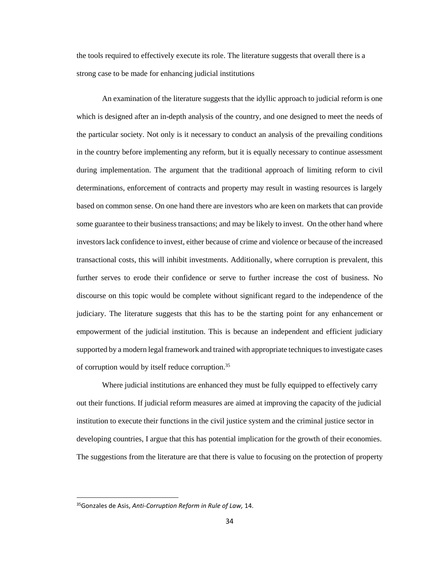the tools required to effectively execute its role. The literature suggests that overall there is a strong case to be made for enhancing judicial institutions

An examination of the literature suggests that the idyllic approach to judicial reform is one which is designed after an in-depth analysis of the country, and one designed to meet the needs of the particular society. Not only is it necessary to conduct an analysis of the prevailing conditions in the country before implementing any reform, but it is equally necessary to continue assessment during implementation. The argument that the traditional approach of limiting reform to civil determinations, enforcement of contracts and property may result in wasting resources is largely based on common sense. On one hand there are investors who are keen on markets that can provide some guarantee to their business transactions; and may be likely to invest. On the other hand where investors lack confidence to invest, either because of crime and violence or because of the increased transactional costs, this will inhibit investments. Additionally, where corruption is prevalent, this further serves to erode their confidence or serve to further increase the cost of business. No discourse on this topic would be complete without significant regard to the independence of the judiciary. The literature suggests that this has to be the starting point for any enhancement or empowerment of the judicial institution. This is because an independent and efficient judiciary supported by a modern legal framework and trained with appropriate techniques to investigate cases of corruption would by itself reduce corruption.<sup>35</sup>

Where judicial institutions are enhanced they must be fully equipped to effectively carry out their functions. If judicial reform measures are aimed at improving the capacity of the judicial institution to execute their functions in the civil justice system and the criminal justice sector in developing countries, I argue that this has potential implication for the growth of their economies. The suggestions from the literature are that there is value to focusing on the protection of property

<sup>35</sup>Gonzales de Asis, *Anti-Corruption Reform in Rule of Law,* 14.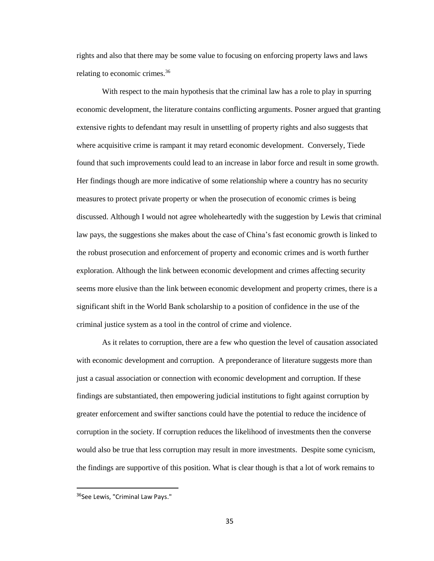rights and also that there may be some value to focusing on enforcing property laws and laws relating to economic crimes.<sup>36</sup>

With respect to the main hypothesis that the criminal law has a role to play in spurring economic development, the literature contains conflicting arguments. Posner argued that granting extensive rights to defendant may result in unsettling of property rights and also suggests that where acquisitive crime is rampant it may retard economic development. Conversely, Tiede found that such improvements could lead to an increase in labor force and result in some growth. Her findings though are more indicative of some relationship where a country has no security measures to protect private property or when the prosecution of economic crimes is being discussed. Although I would not agree wholeheartedly with the suggestion by Lewis that criminal law pays, the suggestions she makes about the case of China's fast economic growth is linked to the robust prosecution and enforcement of property and economic crimes and is worth further exploration. Although the link between economic development and crimes affecting security seems more elusive than the link between economic development and property crimes, there is a significant shift in the World Bank scholarship to a position of confidence in the use of the criminal justice system as a tool in the control of crime and violence.

As it relates to corruption, there are a few who question the level of causation associated with economic development and corruption. A preponderance of literature suggests more than just a casual association or connection with economic development and corruption. If these findings are substantiated, then empowering judicial institutions to fight against corruption by greater enforcement and swifter sanctions could have the potential to reduce the incidence of corruption in the society. If corruption reduces the likelihood of investments then the converse would also be true that less corruption may result in more investments. Despite some cynicism, the findings are supportive of this position. What is clear though is that a lot of work remains to

 $\overline{a}$ 

<sup>&</sup>lt;sup>36</sup>See Lewis, "Criminal Law Pays."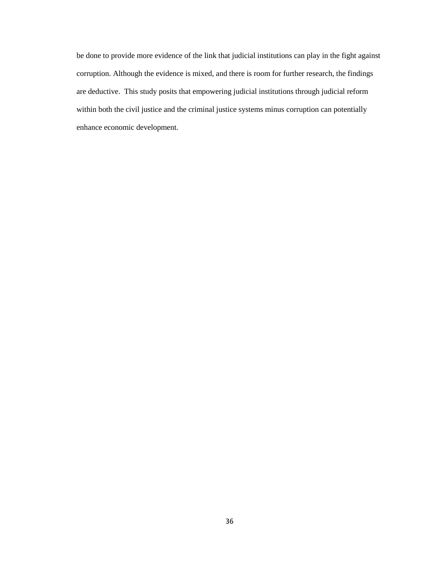be done to provide more evidence of the link that judicial institutions can play in the fight against corruption. Although the evidence is mixed, and there is room for further research, the findings are deductive. This study posits that empowering judicial institutions through judicial reform within both the civil justice and the criminal justice systems minus corruption can potentially enhance economic development.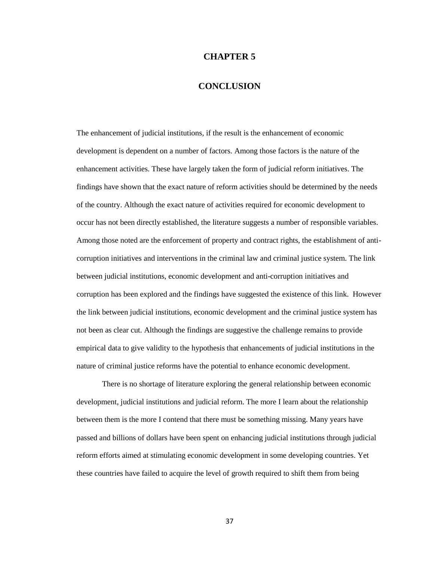#### **CHAPTER 5**

# **CONCLUSION**

<span id="page-39-1"></span><span id="page-39-0"></span>The enhancement of judicial institutions, if the result is the enhancement of economic development is dependent on a number of factors. Among those factors is the nature of the enhancement activities. These have largely taken the form of judicial reform initiatives. The findings have shown that the exact nature of reform activities should be determined by the needs of the country. Although the exact nature of activities required for economic development to occur has not been directly established, the literature suggests a number of responsible variables. Among those noted are the enforcement of property and contract rights, the establishment of anticorruption initiatives and interventions in the criminal law and criminal justice system. The link between judicial institutions, economic development and anti-corruption initiatives and corruption has been explored and the findings have suggested the existence of this link. However the link between judicial institutions, economic development and the criminal justice system has not been as clear cut. Although the findings are suggestive the challenge remains to provide empirical data to give validity to the hypothesis that enhancements of judicial institutions in the nature of criminal justice reforms have the potential to enhance economic development.

There is no shortage of literature exploring the general relationship between economic development, judicial institutions and judicial reform. The more I learn about the relationship between them is the more I contend that there must be something missing. Many years have passed and billions of dollars have been spent on enhancing judicial institutions through judicial reform efforts aimed at stimulating economic development in some developing countries. Yet these countries have failed to acquire the level of growth required to shift them from being

37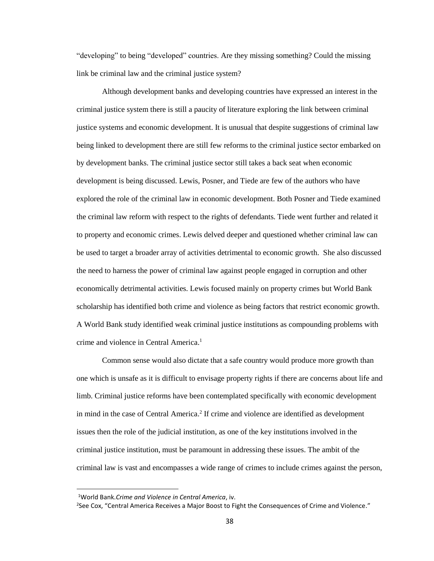"developing" to being "developed" countries. Are they missing something? Could the missing link be criminal law and the criminal justice system?

Although development banks and developing countries have expressed an interest in the criminal justice system there is still a paucity of literature exploring the link between criminal justice systems and economic development. It is unusual that despite suggestions of criminal law being linked to development there are still few reforms to the criminal justice sector embarked on by development banks. The criminal justice sector still takes a back seat when economic development is being discussed. Lewis, Posner, and Tiede are few of the authors who have explored the role of the criminal law in economic development. Both Posner and Tiede examined the criminal law reform with respect to the rights of defendants. Tiede went further and related it to property and economic crimes. Lewis delved deeper and questioned whether criminal law can be used to target a broader array of activities detrimental to economic growth. She also discussed the need to harness the power of criminal law against people engaged in corruption and other economically detrimental activities. Lewis focused mainly on property crimes but World Bank scholarship has identified both crime and violence as being factors that restrict economic growth. A World Bank study identified weak criminal justice institutions as compounding problems with crime and violence in Central America. 1

Common sense would also dictate that a safe country would produce more growth than one which is unsafe as it is difficult to envisage property rights if there are concerns about life and limb. Criminal justice reforms have been contemplated specifically with economic development in mind in the case of Central America.<sup>2</sup> If crime and violence are identified as development issues then the role of the judicial institution, as one of the key institutions involved in the criminal justice institution, must be paramount in addressing these issues. The ambit of the criminal law is vast and encompasses a wide range of crimes to include crimes against the person,

<sup>1</sup>World Bank.*Crime and Violence in Central America*, iv.

<sup>&</sup>lt;sup>2</sup>See Cox, "Central America Receives a Major Boost to Fight the Consequences of Crime and Violence."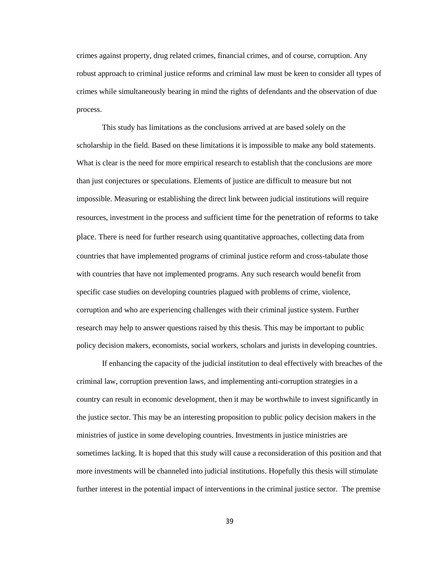crimes against property, drug related crimes, financial crimes, and of course, corruption. Any robust approach to criminal justice reforms and criminal law must be keen to consider all types of crimes while simultaneously bearing in mind the rights of defendants and the observation of due process.

This study has limitations as the conclusions arrived at are based solely on the scholarship in the field. Based on these limitations it is impossible to make any bold statements. What is clear is the need for more empirical research to establish that the conclusions are more than just conjectures or speculations. Elements of justice are difficult to measure but not impossible. Measuring or establishing the direct link between judicial institutions will require resources, investment in the process and sufficient time for the penetration of reforms to take place. There is need for further research using quantitative approaches, collecting data from countries that have implemented programs of criminal justice reform and cross-tabulate those with countries that have not implemented programs. Any such research would benefit from specific case studies on developing countries plagued with problems of crime, violence, corruption and who are experiencing challenges with their criminal justice system. Further research may help to answer questions raised by this thesis. This may be important to public policy decision makers, economists, social workers, scholars and jurists in developing countries.

If enhancing the capacity of the judicial institution to deal effectively with breaches of the criminal law, corruption prevention laws, and implementing anti-corruption strategies in a country can result in economic development, then it may be worthwhile to invest significantly in the justice sector. This may be an interesting proposition to public policy decision makers in the ministries of justice in some developing countries. Investments in justice ministries are sometimes lacking. It is hoped that this study will cause a reconsideration of this position and that more investments will be channeled into judicial institutions. Hopefully this thesis will stimulate further interest in the potential impact of interventions in the criminal justice sector. The premise

39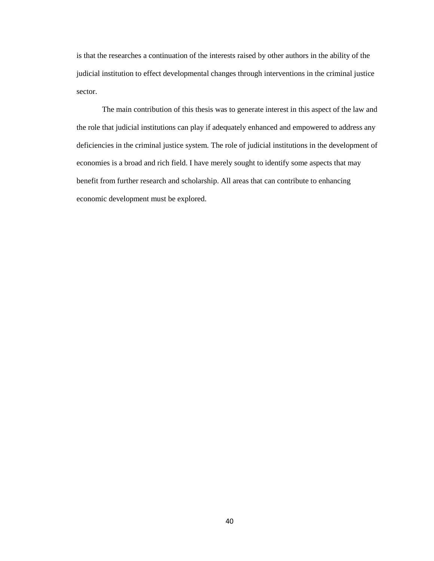is that the researches a continuation of the interests raised by other authors in the ability of the judicial institution to effect developmental changes through interventions in the criminal justice sector.

The main contribution of this thesis was to generate interest in this aspect of the law and the role that judicial institutions can play if adequately enhanced and empowered to address any deficiencies in the criminal justice system. The role of judicial institutions in the development of economies is a broad and rich field. I have merely sought to identify some aspects that may benefit from further research and scholarship. All areas that can contribute to enhancing economic development must be explored.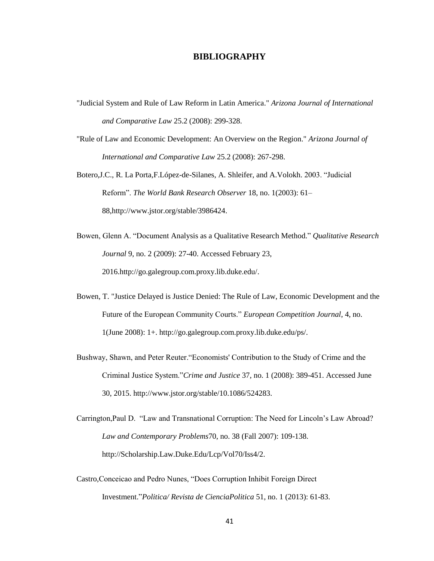## **BIBLIOGRAPHY**

- <span id="page-43-0"></span>"Judicial System and Rule of Law Reform in Latin America." *Arizona Journal of International and Comparative Law* 25.2 (2008): 299-328.
- "Rule of Law and Economic Development: An Overview on the Region." *Arizona Journal of International and Comparative Law* 25.2 (2008): 267-298.

Botero,J.C., R. La Porta,F.López-de-Silanes, A. Shleifer, and A.Volokh. 2003. "Judicial Reform". *The World Bank Research Observer* 18, no. 1(2003): 61– 88,http://www.jstor.org/stable/3986424.

- Bowen, Glenn A. "Document Analysis as a Qualitative Research Method." *Qualitative Research Journal* 9, no. 2 (2009): 27-40. Accessed February 23, 2016.http://go.galegroup.com.proxy.lib.duke.edu/.
- Bowen, T. "Justice Delayed is Justice Denied: The Rule of Law, Economic Development and the Future of the European Community Courts." *European Competition Journal*, 4, no. 1(June 2008): 1+. http://go.galegroup.com.proxy.lib.duke.edu/ps/.
- Bushway, Shawn, and Peter Reuter."Economists' Contribution to the Study of Crime and the Criminal Justice System."*Crime and Justice* 37, no. 1 (2008): 389-451. Accessed June 30, 2015. http://www.jstor.org/stable/10.1086/524283.
- Carrington,Paul D. "Law and Transnational Corruption: The Need for Lincoln's Law Abroad? *Law and Contemporary Problems*70, no. 38 (Fall 2007): 109-138. http://Scholarship.Law.Duke.Edu/Lcp/Vol70/Iss4/2.
- Castro,Conceicao and Pedro Nunes, "Does Corruption Inhibit Foreign Direct Investment."*Politica/ Revista de CienciaPolitica* 51, no. 1 (2013): 61-83.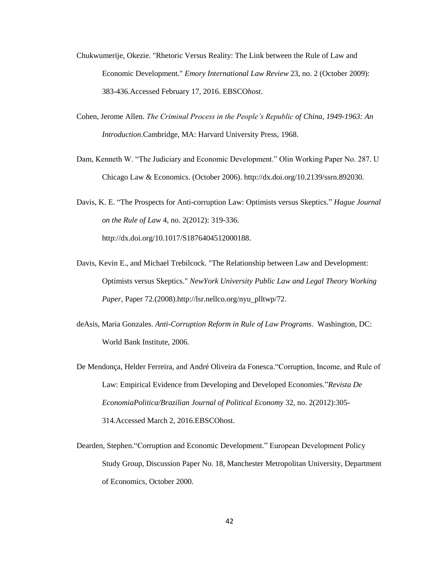- Chukwumerije, Okezie. "Rhetoric Versus Reality: The Link between the Rule of Law and Economic Development." *Emory International Law Review* 23, no. 2 (October 2009): 383-436.Accessed February 17, 2016. EBSCO*host*.
- Cohen, Jerome Allen. *The Criminal Process in the People's Republic of China, 1949-1963: An Introduction*.Cambridge, MA: Harvard University Press, 1968.
- Dam, Kenneth W. "The Judiciary and Economic Development." Olin Working Paper No. 287. U Chicago Law & Economics. (October 2006). http://dx.doi.org/10.2139/ssrn.892030.
- Davis, K. E. "The Prospects for Anti-corruption Law: Optimists versus Skeptics." *Hague Journal on the Rule of Law* 4, no. 2(2012): 319-336. http://dx.doi.org/10.1017/S1876404512000188.
- Davis, Kevin E., and Michael Trebilcock. "The Relationship between Law and Development: Optimists versus Skeptics." *NewYork University Public Law and Legal Theory Working Paper*, Paper 72.(2008).http://lsr.nellco.org/nyu\_plltwp/72.
- deAsis, Maria Gonzales. *Anti-Corruption Reform in Rule of Law Programs*. Washington, DC: World Bank Institute, 2006.
- De Mendonça, Helder Ferreira, and André Oliveira da Fonesca."Corruption, Income, and Rule of Law: Empirical Evidence from Developing and Developed Economies."*Revista De EconomiaPolitica/Brazilian Journal of Political Economy* 32, no. 2(2012):305- 314*.*Accessed March 2, 2016.EBSCOhost.
- Dearden, Stephen."Corruption and Economic Development." European Development Policy Study Group, Discussion Paper No. 18, Manchester Metropolitan University, Department of Economics, October 2000.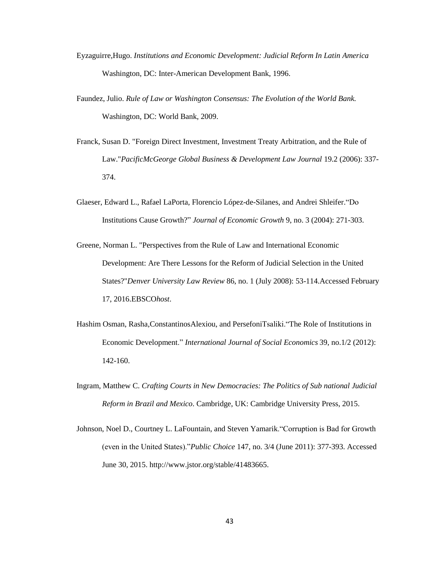- Eyzaguirre,Hugo. *Institutions and Economic Development: Judicial Reform In Latin America* Washington, DC: Inter-American Development Bank, 1996.
- Faundez, Julio. *Rule of Law or Washington Consensus: The Evolution of the World Bank.*  Washington, DC: World Bank, 2009.
- Franck, Susan D. "Foreign Direct Investment, Investment Treaty Arbitration, and the Rule of Law."*PacificMcGeorge Global Business & Development Law Journal* 19.2 (2006): 337- 374.
- Glaeser, Edward L., Rafael LaPorta, Florencio López-de-Silanes, and Andrei Shleifer."Do Institutions Cause Growth?" *Journal of Economic Growth* 9, no. 3 (2004): 271-303.
- Greene, Norman L. "Perspectives from the Rule of Law and International Economic Development: Are There Lessons for the Reform of Judicial Selection in the United States?"*Denver University Law Review* 86, no. 1 (July 2008): 53-114.Accessed February 17, 2016.EBSCO*host*.
- Hashim Osman, Rasha,ConstantinosAlexiou, and [PersefoniT](http://search.proquest.com.proxy.lib.duke.edu/indexinglinkhandler/sng/au/Tsaliki,+Persefoni/$N?accountid=10598)saliki."The Role of Institutions in Economic Development." *International Journal of Social Economics* 39, no.1/2 (2012): 142-160.
- Ingram, Matthew C. *Crafting Courts in New Democracies: The Politics of Sub national Judicial Reform in Brazil and Mexico*. Cambridge, UK: Cambridge University Press, 2015.
- Johnson, Noel D., Courtney L. LaFountain, and Steven Yamarik."Corruption is Bad for Growth (even in the United States)."*Public Choice* 147, no. 3/4 (June 2011): 377-393. Accessed June 30, 2015. http://www.jstor.org/stable/41483665.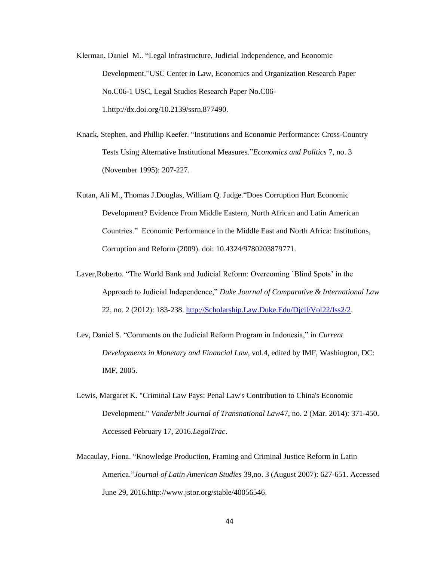Klerman, Daniel M.. "Legal Infrastructure, Judicial Independence, and Economic Development."USC Center in Law, Economics and Organization Research Paper No.C06-1 USC, Legal Studies Research Paper No.C06- 1.http://dx.doi.org/10.2139/ssrn.877490.

- Knack, Stephen, and Phillip Keefer. "Institutions and Economic Performance: Cross-Country Tests Using Alternative Institutional Measures."*Economics and Politics* 7, no. 3 (November 1995): 207-227.
- Kutan, Ali M., Thomas J.Douglas, William Q. Judge."Does Corruption Hurt Economic Development? Evidence From Middle Eastern, North African and Latin American Countries." Economic Performance in the Middle East and North Africa: Institutions, Corruption and Reform (2009). doi: 10.4324/9780203879771.
- Laver,Roberto. "The World Bank and Judicial Reform: Overcoming `Blind Spots' in the Approach to Judicial Independence," *Duke Journal of Comparative & International Law* 22, no. 2 (2012): 183-238. [http://Scholarship.Law.Duke.Edu/Djcil/Vol22/Iss2/2.](http://scholarship.law.duke.edu/Djcil/Vol22/Iss2/2)
- Lev, Daniel S. "Comments on the Judicial Reform Program in Indonesia," in *Current Developments in Monetary and Financial Law*, vol.4, edited by IMF, Washington, DC: IMF, 2005.
- Lewis, Margaret K. "Criminal Law Pays: Penal Law's Contribution to China's Economic Development." *Vanderbilt Journal of Transnational Law*47, no. 2 (Mar. 2014): 371-450. Accessed February 17, 2016.*LegalTrac*.
- Macaulay, Fiona. "Knowledge Production, Framing and Criminal Justice Reform in Latin America."*Journal of Latin American Studies* 39,no. 3 (August 2007): 627-651. Accessed June 29, 2016.http://www.jstor.org/stable/40056546.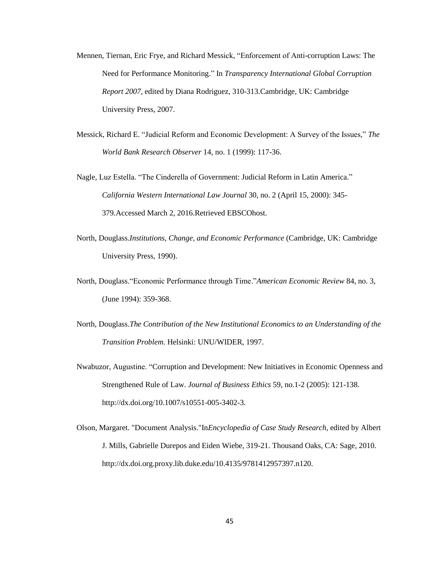- Mennen, Tiernan, Eric Frye, and Richard Messick, "Enforcement of Anti-corruption Laws: The Need for Performance Monitoring." In *Transparency International Global Corruption Report 2007*, edited by Diana Rodriguez, 310-313.Cambridge, UK: Cambridge University Press, 2007.
- Messick, Richard E. "Judicial Reform and Economic Development: A Survey of the Issues," *The World Bank Research Observer* 14, no. 1 (1999): 117-36.
- Nagle, Luz Estella. "The Cinderella of Government: Judicial Reform in Latin America." *California Western International Law Journal* 30, no. 2 (April 15, 2000): 345- 379*.*Accessed March 2, 2016.Retrieved EBSCOhost.
- North, Douglass.*Institutions, Change, and Economic Performance* (Cambridge, UK: Cambridge University Press, 1990).
- North, Douglass."Economic Performance through Time."*American Economic Review* 84, no. 3, (June 1994): 359-368.
- North, Douglass.*The Contribution of the New Institutional Economics to an Understanding of the Transition Problem*. Helsinki: UNU/WIDER, 1997.
- Nwabuzor, Augustine. "Corruption and Development: New Initiatives in Economic Openness and Strengthened Rule of Law. *Journal of Business Ethics* 59, no.1-2 (2005): 121-138. http://dx.doi.org/10.1007/s10551-005-3402-3.
- Olson, Margaret. "Document Analysis."In*Encyclopedia of Case Study Research*, edited by Albert J. Mills, Gabrielle Durepos and Eiden Wiebe, 319-21. Thousand Oaks, CA: Sage, 2010. http://dx.doi.org.proxy.lib.duke.edu/10.4135/9781412957397.n120.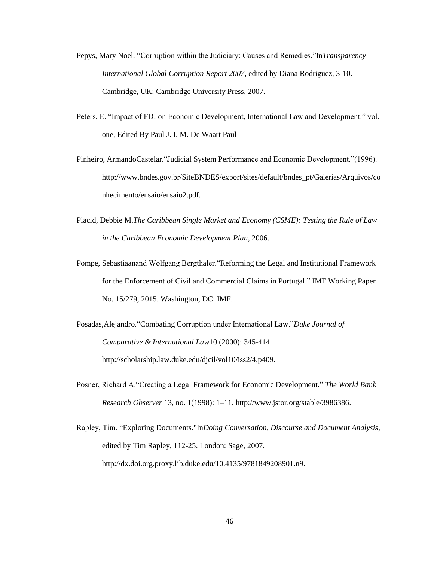- Pepys, Mary Noel. "Corruption within the Judiciary: Causes and Remedies."In*Transparency International Global Corruption Report 2007*, edited by Diana Rodriguez, 3-10. Cambridge, UK: Cambridge University Press, 2007.
- Peters, E. "Impact of FDI on Economic Development, International Law and Development." vol. one, Edited By Paul J. I. M. De Waart Paul
- Pinheiro, ArmandoCastelar."Judicial System Performance and Economic Development."(1996). http://www.bndes.gov.br/SiteBNDES/export/sites/default/bndes\_pt/Galerias/Arquivos/co nhecimento/ensaio/ensaio2.pdf.
- Placid, Debbie M.*The Caribbean Single Market and Economy (CSME): Testing the Rule of Law in the Caribbean Economic Development Plan*, 2006.
- Pompe, Sebastiaanand Wolfgang Bergthaler."Reforming the Legal and Institutional Framework for the Enforcement of Civil and Commercial Claims in Portugal." IMF Working Paper No. 15/279, 2015. Washington, DC: IMF.
- Posadas,Alejandro."Combating Corruption under International Law."*Duke Journal of Comparative & International Law*10 (2000): 345-414. http://scholarship.law.duke.edu/djcil/vol10/iss2/4,p409.
- Posner, Richard A."Creating a Legal Framework for Economic Development." *The World Bank Research Observer* 13, no. 1(1998): 1–11. http://www.jstor.org/stable/3986386.
- Rapley, Tim. "Exploring Documents."In*Doing Conversation, Discourse and Document Analysis*, edited by Tim Rapley, 112-25. London: Sage, 2007. http://dx.doi.org.proxy.lib.duke.edu/10.4135/9781849208901.n9.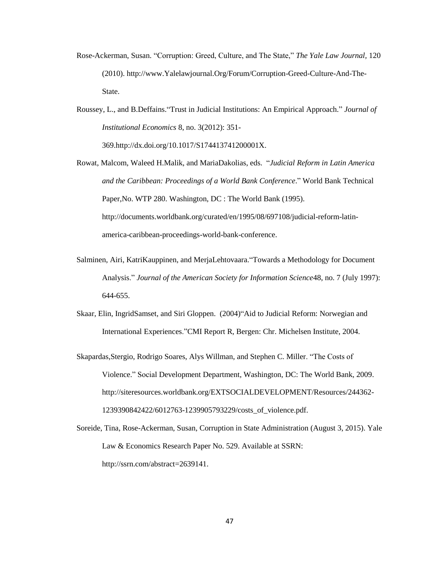- Rose-Ackerman, Susan. "Corruption: Greed, Culture, and The State," *The Yale Law Journal,* 120 (2010). http://www.Yalelawjournal.Org/Forum/Corruption-Greed-Culture-And-The-State.
- Roussey, L., and B.Deffains."Trust in Judicial Institutions: An Empirical Approach." *Journal of Institutional Economics* 8, no. 3(2012): 351- 369.http://dx.doi.org/10.1017/S174413741200001X.
- Rowat, Malcom, Waleed H.Malik, and MariaDakolias, eds. "*Judicial Reform in Latin America and the Caribbean: Proceedings of a World Bank Conference*." World Bank Technical Paper,No. WTP 280. Washington, DC : The World Bank (1995). http://documents.worldbank.org/curated/en/1995/08/697108/judicial-reform-latinamerica-caribbean-proceedings-world-bank-conference.
- Salminen, Airi, KatriKauppinen, and MerjaLehtovaara."Towards a Methodology for Document Analysis." *Journal of the American Society for Information Science*48, no. 7 (July 1997): 644-655.
- Skaar, Elin, IngridSamset, and Siri Gloppen. (2004)"Aid to Judicial Reform: Norwegian and International Experiences."CMI Report R, Bergen: Chr. Michelsen Institute, 2004.
- Skapardas,Stergio, Rodrigo Soares, Alys Willman, and Stephen C. Miller. "The Costs of Violence." Social Development Department, Washington, DC: The World Bank, 2009. http://siteresources.worldbank.org/EXTSOCIALDEVELOPMENT/Resources/244362- 1239390842422/6012763-1239905793229/costs\_of\_violence.pdf.
- Soreide, Tina, Rose-Ackerman, Susan, Corruption in State Administration (August 3, 2015). Yale Law & Economics Research Paper No. 529. Available at SSRN: http://ssrn.com/abstract=2639141.